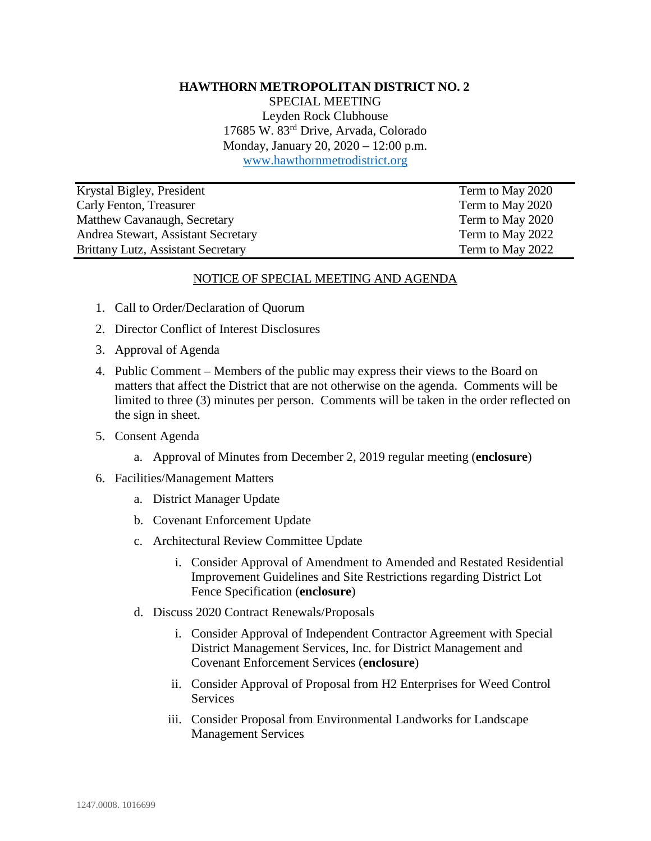#### **HAWTHORN METROPOLITAN DISTRICT NO. 2**

SPECIAL MEETING Leyden Rock Clubhouse 17685 W. 83rd Drive, Arvada, Colorado Monday, January 20, 2020 – 12:00 p.m. [www.hawthornmetrodistrict.org](http://www.hawthornmetrodistrict.org/)

| Krystal Bigley, President                 | Term to May 2020 |
|-------------------------------------------|------------------|
| Carly Fenton, Treasurer                   | Term to May 2020 |
| Matthew Cavanaugh, Secretary              | Term to May 2020 |
| Andrea Stewart, Assistant Secretary       | Term to May 2022 |
| <b>Brittany Lutz, Assistant Secretary</b> | Term to May 2022 |

#### NOTICE OF SPECIAL MEETING AND AGENDA

- 1. Call to Order/Declaration of Quorum
- 2. Director Conflict of Interest Disclosures
- 3. Approval of Agenda
- 4. Public Comment Members of the public may express their views to the Board on matters that affect the District that are not otherwise on the agenda. Comments will be limited to three (3) minutes per person. Comments will be taken in the order reflected on the sign in sheet.
- 5. Consent Agenda
	- a. Approval of Minutes from December 2, 2019 regular meeting (**enclosure**)
- 6. Facilities/Management Matters
	- a. District Manager Update
	- b. Covenant Enforcement Update
	- c. Architectural Review Committee Update
		- i. Consider Approval of Amendment to Amended and Restated Residential Improvement Guidelines and Site Restrictions regarding District Lot Fence Specification (**enclosure**)
	- d. Discuss 2020 Contract Renewals/Proposals
		- i. Consider Approval of Independent Contractor Agreement with Special District Management Services, Inc. for District Management and Covenant Enforcement Services (**enclosure**)
		- ii. Consider Approval of Proposal from H2 Enterprises for Weed Control **Services**
		- iii. Consider Proposal from Environmental Landworks for Landscape Management Services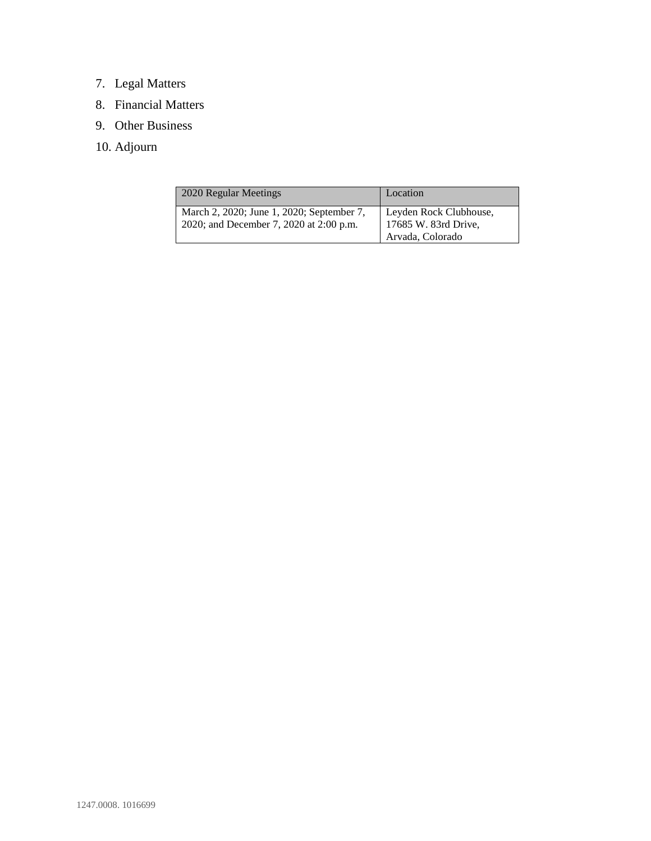# 7. Legal Matters

- 8. Financial Matters
- 9. Other Business
- 10. Adjourn

| 2020 Regular Meetings                                                                | Location                                                           |
|--------------------------------------------------------------------------------------|--------------------------------------------------------------------|
| March 2, 2020; June 1, 2020; September 7,<br>2020; and December 7, 2020 at 2:00 p.m. | Leyden Rock Clubhouse,<br>17685 W. 83rd Drive.<br>Arvada, Colorado |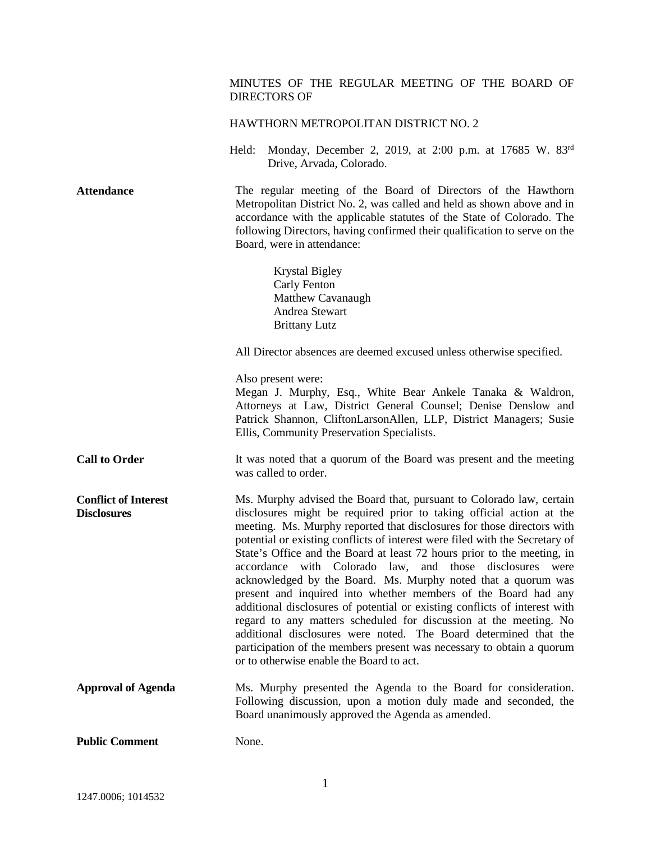# MINUTES OF THE REGULAR MEETING OF THE BOARD OF DIRECTORS OF HAWTHORN METROPOLITAN DISTRICT NO. 2 Held: Monday, December 2, 2019, at 2:00 p.m. at 17685 W. 83rd Drive, Arvada, Colorado. Attendance The regular meeting of the Board of Directors of the Hawthorn Metropolitan District No. 2, was called and held as shown above and in accordance with the applicable statutes of the State of Colorado. The following Directors, having confirmed their qualification to serve on the Board, were in attendance: Krystal Bigley Carly Fenton Matthew Cavanaugh Andrea Stewart Brittany Lutz All Director absences are deemed excused unless otherwise specified. Also present were: Megan J. Murphy, Esq., White Bear Ankele Tanaka & Waldron, Attorneys at Law, District General Counsel; Denise Denslow and Patrick Shannon, CliftonLarsonAllen, LLP, District Managers; Susie Ellis, Community Preservation Specialists. **Call to Order It** was noted that a quorum of the Board was present and the meeting was called to order. **Conflict of Interest Disclosures** Ms. Murphy advised the Board that, pursuant to Colorado law, certain disclosures might be required prior to taking official action at the meeting. Ms. Murphy reported that disclosures for those directors with potential or existing conflicts of interest were filed with the Secretary of State's Office and the Board at least 72 hours prior to the meeting, in accordance with Colorado law, and those disclosures were acknowledged by the Board. Ms. Murphy noted that a quorum was present and inquired into whether members of the Board had any additional disclosures of potential or existing conflicts of interest with regard to any matters scheduled for discussion at the meeting. No additional disclosures were noted. The Board determined that the participation of the members present was necessary to obtain a quorum or to otherwise enable the Board to act. **Approval of Agenda** Ms. Murphy presented the Agenda to the Board for consideration. Following discussion, upon a motion duly made and seconded, the Board unanimously approved the Agenda as amended. **Public Comment** None.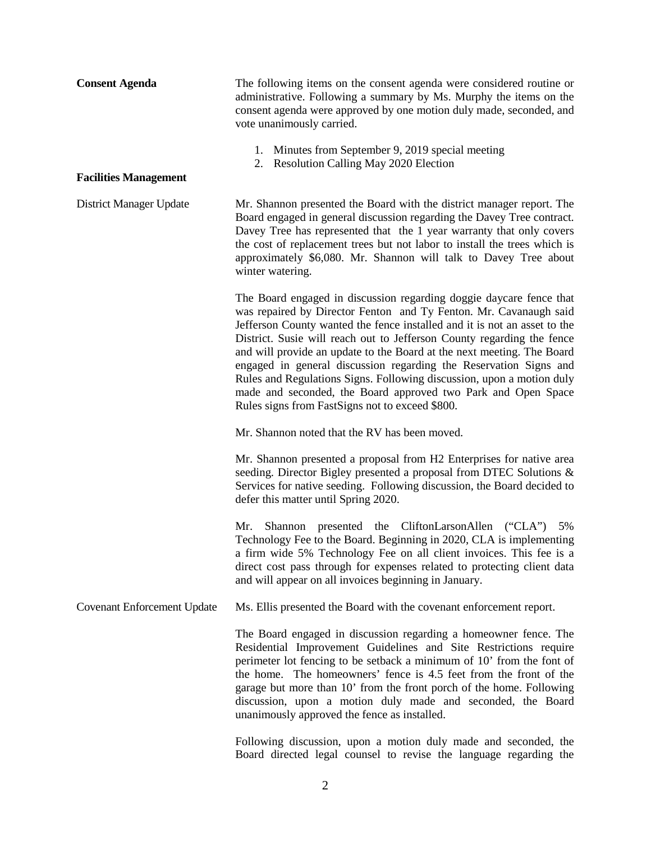| <b>Consent Agenda</b>              | The following items on the consent agenda were considered routine or<br>administrative. Following a summary by Ms. Murphy the items on the<br>consent agenda were approved by one motion duly made, seconded, and<br>vote unanimously carried.                                                                                                                                                                                                                                                                                                                                                                                              |
|------------------------------------|---------------------------------------------------------------------------------------------------------------------------------------------------------------------------------------------------------------------------------------------------------------------------------------------------------------------------------------------------------------------------------------------------------------------------------------------------------------------------------------------------------------------------------------------------------------------------------------------------------------------------------------------|
|                                    | 1. Minutes from September 9, 2019 special meeting<br>2. Resolution Calling May 2020 Election                                                                                                                                                                                                                                                                                                                                                                                                                                                                                                                                                |
| <b>Facilities Management</b>       |                                                                                                                                                                                                                                                                                                                                                                                                                                                                                                                                                                                                                                             |
| District Manager Update            | Mr. Shannon presented the Board with the district manager report. The<br>Board engaged in general discussion regarding the Davey Tree contract.<br>Davey Tree has represented that the 1 year warranty that only covers<br>the cost of replacement trees but not labor to install the trees which is<br>approximately \$6,080. Mr. Shannon will talk to Davey Tree about<br>winter watering.                                                                                                                                                                                                                                                |
|                                    | The Board engaged in discussion regarding doggie daycare fence that<br>was repaired by Director Fenton and Ty Fenton. Mr. Cavanaugh said<br>Jefferson County wanted the fence installed and it is not an asset to the<br>District. Susie will reach out to Jefferson County regarding the fence<br>and will provide an update to the Board at the next meeting. The Board<br>engaged in general discussion regarding the Reservation Signs and<br>Rules and Regulations Signs. Following discussion, upon a motion duly<br>made and seconded, the Board approved two Park and Open Space<br>Rules signs from FastSigns not to exceed \$800. |
|                                    | Mr. Shannon noted that the RV has been moved.                                                                                                                                                                                                                                                                                                                                                                                                                                                                                                                                                                                               |
|                                    | Mr. Shannon presented a proposal from H2 Enterprises for native area<br>seeding. Director Bigley presented a proposal from DTEC Solutions &<br>Services for native seeding. Following discussion, the Board decided to<br>defer this matter until Spring 2020.                                                                                                                                                                                                                                                                                                                                                                              |
|                                    | Shannon presented the CliftonLarsonAllen ("CLA") 5%<br>Mr.<br>Technology Fee to the Board. Beginning in 2020, CLA is implementing<br>a firm wide 5% Technology Fee on all client invoices. This fee is a<br>direct cost pass through for expenses related to protecting client data<br>and will appear on all invoices beginning in January.                                                                                                                                                                                                                                                                                                |
| <b>Covenant Enforcement Update</b> | Ms. Ellis presented the Board with the covenant enforcement report.                                                                                                                                                                                                                                                                                                                                                                                                                                                                                                                                                                         |
|                                    | The Board engaged in discussion regarding a homeowner fence. The<br>Residential Improvement Guidelines and Site Restrictions require<br>perimeter lot fencing to be setback a minimum of 10' from the font of<br>the home. The homeowners' fence is 4.5 feet from the front of the<br>garage but more than 10' from the front porch of the home. Following<br>discussion, upon a motion duly made and seconded, the Board<br>unanimously approved the fence as installed.                                                                                                                                                                   |
|                                    | Following discussion, upon a motion duly made and seconded, the                                                                                                                                                                                                                                                                                                                                                                                                                                                                                                                                                                             |

2

Board directed legal counsel to revise the language regarding the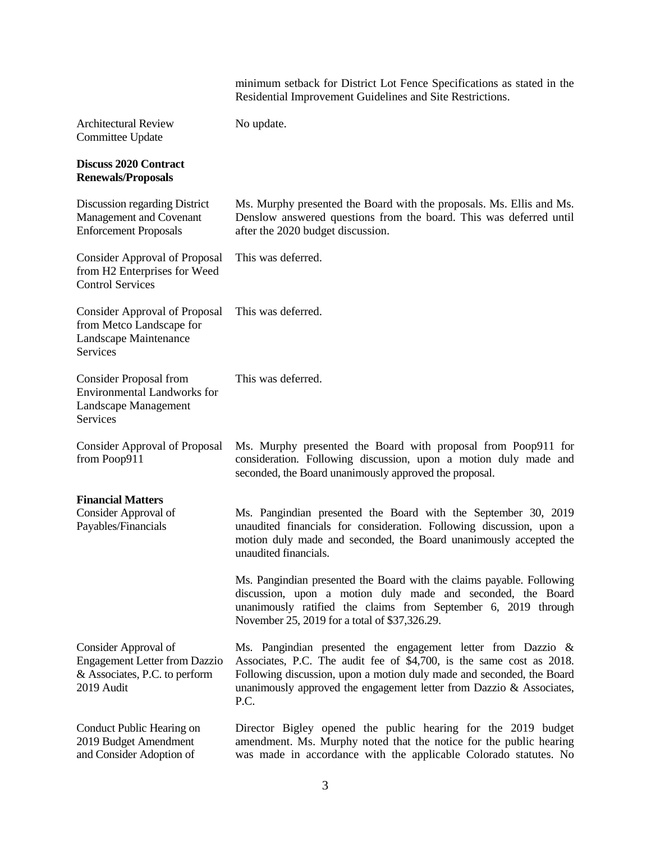|                                                                                                             | minimum setback for District Lot Fence Specifications as stated in the<br>Residential Improvement Guidelines and Site Restrictions.                                                                                                                                                              |
|-------------------------------------------------------------------------------------------------------------|--------------------------------------------------------------------------------------------------------------------------------------------------------------------------------------------------------------------------------------------------------------------------------------------------|
| <b>Architectural Review</b><br>Committee Update                                                             | No update.                                                                                                                                                                                                                                                                                       |
| <b>Discuss 2020 Contract</b><br><b>Renewals/Proposals</b>                                                   |                                                                                                                                                                                                                                                                                                  |
| Discussion regarding District<br>Management and Covenant<br><b>Enforcement Proposals</b>                    | Ms. Murphy presented the Board with the proposals. Ms. Ellis and Ms.<br>Denslow answered questions from the board. This was deferred until<br>after the 2020 budget discussion.                                                                                                                  |
| <b>Consider Approval of Proposal</b><br>from H2 Enterprises for Weed<br><b>Control Services</b>             | This was deferred.                                                                                                                                                                                                                                                                               |
| <b>Consider Approval of Proposal</b><br>from Metco Landscape for<br>Landscape Maintenance<br>Services       | This was deferred.                                                                                                                                                                                                                                                                               |
| <b>Consider Proposal from</b><br><b>Environmental Landworks for</b><br>Landscape Management<br>Services     | This was deferred.                                                                                                                                                                                                                                                                               |
| <b>Consider Approval of Proposal</b><br>from Poop911                                                        | Ms. Murphy presented the Board with proposal from Poop911 for<br>consideration. Following discussion, upon a motion duly made and<br>seconded, the Board unanimously approved the proposal.                                                                                                      |
| <b>Financial Matters</b><br>Consider Approval of<br>Payables/Financials                                     | Ms. Pangindian presented the Board with the September 30, 2019<br>unaudited financials for consideration. Following discussion, upon a<br>motion duly made and seconded, the Board unanimously accepted the<br>unaudited financials.                                                             |
|                                                                                                             | Ms. Pangindian presented the Board with the claims payable. Following<br>discussion, upon a motion duly made and seconded, the Board<br>unanimously ratified the claims from September 6, 2019 through<br>November 25, 2019 for a total of \$37,326.29.                                          |
| Consider Approval of<br><b>Engagement Letter from Dazzio</b><br>& Associates, P.C. to perform<br>2019 Audit | Ms. Pangindian presented the engagement letter from Dazzio &<br>Associates, P.C. The audit fee of \$4,700, is the same cost as 2018.<br>Following discussion, upon a motion duly made and seconded, the Board<br>unanimously approved the engagement letter from Dazzio $\&$ Associates,<br>P.C. |
| Conduct Public Hearing on<br>2019 Budget Amendment<br>and Consider Adoption of                              | Director Bigley opened the public hearing for the 2019 budget<br>amendment. Ms. Murphy noted that the notice for the public hearing<br>was made in accordance with the applicable Colorado statutes. No                                                                                          |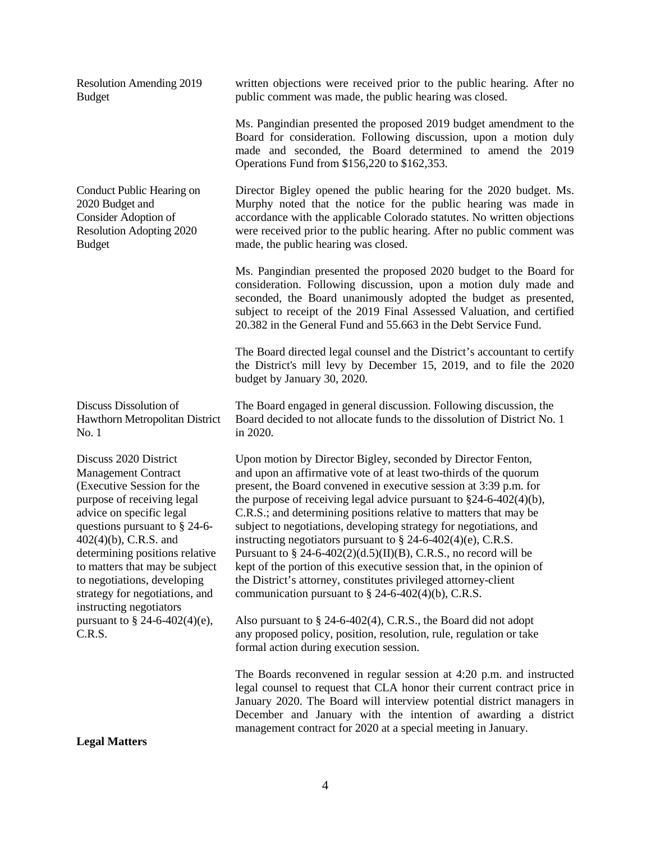Resolution Amending 2019 Budget

Conduct Public Hearing on 2020 Budget and Consider Adoption of Resolution Adopting 2020 Budget

Discuss Dissolution of Hawthorn Metropolitan District No. 1

Discuss 2020 District Management Contract (Executive Session for the purpose of receiving legal advice on specific legal questions pursuant to § 24-6- 402(4)(b), C.R.S. and determining positions relative to matters that may be subject to negotiations, developing strategy for negotiations, and instructing negotiators pursuant to  $§$  24-6-402(4)(e), C.R.S.

**Legal Matters** 

written objections were received prior to the public hearing. After no public comment was made, the public hearing was closed.

Ms. Pangindian presented the proposed 2019 budget amendment to the Board for consideration. Following discussion, upon a motion duly made and seconded, the Board determined to amend the 2019 Operations Fund from \$156,220 to \$162,353.

Director Bigley opened the public hearing for the 2020 budget. Ms. Murphy noted that the notice for the public hearing was made in accordance with the applicable Colorado statutes. No written objections were received prior to the public hearing. After no public comment was made, the public hearing was closed.

Ms. Pangindian presented the proposed 2020 budget to the Board for consideration. Following discussion, upon a motion duly made and seconded, the Board unanimously adopted the budget as presented, subject to receipt of the 2019 Final Assessed Valuation, and certified 20.382 in the General Fund and 55.663 in the Debt Service Fund.

The Board directed legal counsel and the District's accountant to certify the District's mill levy by December 15, 2019, and to file the 2020 budget by January 30, 2020.

The Board engaged in general discussion. Following discussion, the Board decided to not allocate funds to the dissolution of District No. 1 in 2020.

Upon motion by Director Bigley, seconded by Director Fenton, and upon an affirmative vote of at least two-thirds of the quorum present, the Board convened in executive session at 3:39 p.m. for the purpose of receiving legal advice pursuant to §24-6-402(4)(b), C.R.S.; and determining positions relative to matters that may be subject to negotiations, developing strategy for negotiations, and instructing negotiators pursuant to § 24-6-402(4)(e), C.R.S. Pursuant to  $\S 24-6-402(2)(d.5)(II)(B)$ , C.R.S., no record will be kept of the portion of this executive session that, in the opinion of the District's attorney, constitutes privileged attorney-client communication pursuant to  $\S$  24-6-402(4)(b), C.R.S.

Also pursuant to § 24-6-402(4), C.R.S., the Board did not adopt any proposed policy, position, resolution, rule, regulation or take formal action during execution session.

The Boards reconvened in regular session at 4:20 p.m. and instructed legal counsel to request that CLA honor their current contract price in January 2020. The Board will interview potential district managers in December and January with the intention of awarding a district management contract for 2020 at a special meeting in January.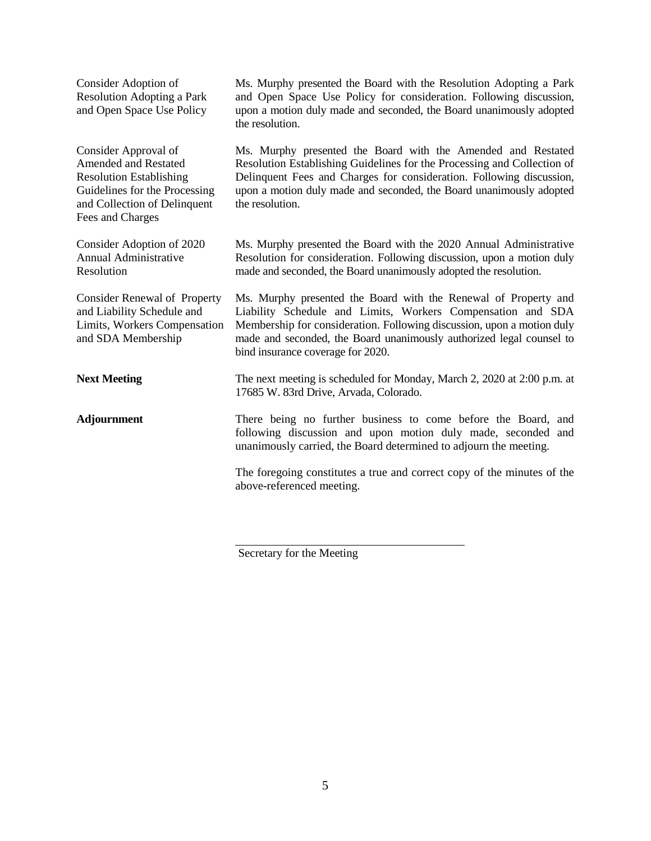| Consider Adoption of<br><b>Resolution Adopting a Park</b><br>and Open Space Use Policy                                                                                     | Ms. Murphy presented the Board with the Resolution Adopting a Park<br>and Open Space Use Policy for consideration. Following discussion,<br>upon a motion duly made and seconded, the Board unanimously adopted<br>the resolution.                                                                                    |
|----------------------------------------------------------------------------------------------------------------------------------------------------------------------------|-----------------------------------------------------------------------------------------------------------------------------------------------------------------------------------------------------------------------------------------------------------------------------------------------------------------------|
| Consider Approval of<br><b>Amended and Restated</b><br><b>Resolution Establishing</b><br>Guidelines for the Processing<br>and Collection of Delinquent<br>Fees and Charges | Ms. Murphy presented the Board with the Amended and Restated<br>Resolution Establishing Guidelines for the Processing and Collection of<br>Delinquent Fees and Charges for consideration. Following discussion,<br>upon a motion duly made and seconded, the Board unanimously adopted<br>the resolution.             |
| Consider Adoption of 2020<br>Annual Administrative<br>Resolution                                                                                                           | Ms. Murphy presented the Board with the 2020 Annual Administrative<br>Resolution for consideration. Following discussion, upon a motion duly<br>made and seconded, the Board unanimously adopted the resolution.                                                                                                      |
| <b>Consider Renewal of Property</b><br>and Liability Schedule and<br>Limits, Workers Compensation<br>and SDA Membership                                                    | Ms. Murphy presented the Board with the Renewal of Property and<br>Liability Schedule and Limits, Workers Compensation and SDA<br>Membership for consideration. Following discussion, upon a motion duly<br>made and seconded, the Board unanimously authorized legal counsel to<br>bind insurance coverage for 2020. |
| <b>Next Meeting</b>                                                                                                                                                        | The next meeting is scheduled for Monday, March 2, 2020 at 2:00 p.m. at<br>17685 W. 83rd Drive, Arvada, Colorado.                                                                                                                                                                                                     |
| <b>Adjournment</b>                                                                                                                                                         | There being no further business to come before the Board, and<br>following discussion and upon motion duly made, seconded and<br>unanimously carried, the Board determined to adjourn the meeting.                                                                                                                    |
|                                                                                                                                                                            | The foregoing constitutes a true and correct copy of the minutes of the<br>above-referenced meeting.                                                                                                                                                                                                                  |

Secretary for the Meeting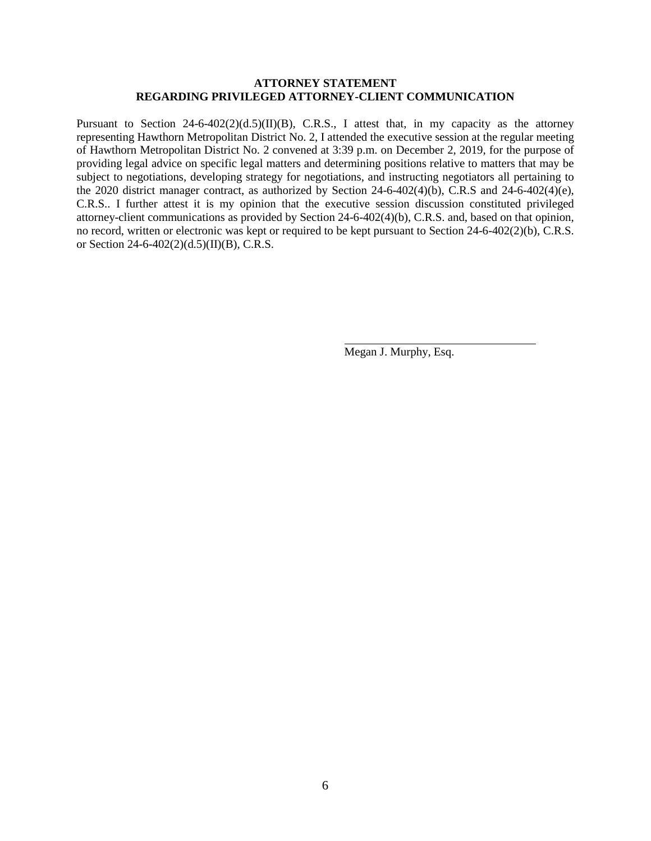#### **ATTORNEY STATEMENT REGARDING PRIVILEGED ATTORNEY-CLIENT COMMUNICATION**

Pursuant to Section 24-6-402(2)(d.5)(II)(B), C.R.S., I attest that, in my capacity as the attorney representing Hawthorn Metropolitan District No. 2, I attended the executive session at the regular meeting of Hawthorn Metropolitan District No. 2 convened at 3:39 p.m. on December 2, 2019, for the purpose of providing legal advice on specific legal matters and determining positions relative to matters that may be subject to negotiations, developing strategy for negotiations, and instructing negotiators all pertaining to the 2020 district manager contract, as authorized by Section 24-6-402(4)(b), C.R.S and 24-6-402(4)(e), C.R.S.. I further attest it is my opinion that the executive session discussion constituted privileged attorney-client communications as provided by Section 24-6-402(4)(b), C.R.S. and, based on that opinion, no record, written or electronic was kept or required to be kept pursuant to Section 24-6-402(2)(b), C.R.S. or Section 24-6-402(2)(d.5)(II)(B), C.R.S.

Megan J. Murphy, Esq.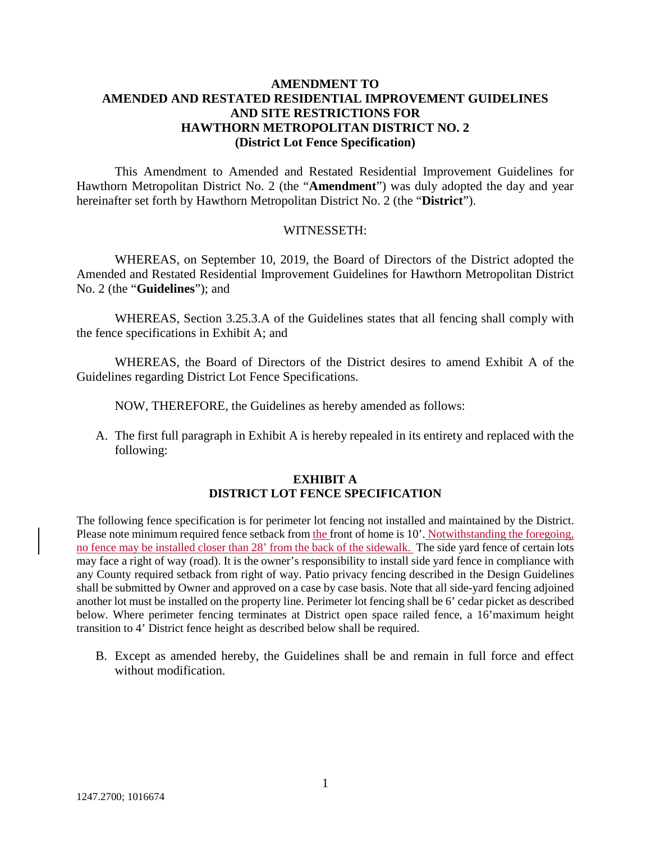## **AMENDMENT TO AMENDED AND RESTATED RESIDENTIAL IMPROVEMENT GUIDELINES AND SITE RESTRICTIONS FOR HAWTHORN METROPOLITAN DISTRICT NO. 2 (District Lot Fence Specification)**

This Amendment to Amended and Restated Residential Improvement Guidelines for Hawthorn Metropolitan District No. 2 (the "**Amendment**") was duly adopted the day and year hereinafter set forth by Hawthorn Metropolitan District No. 2 (the "**District**").

#### WITNESSETH:

WHEREAS, on September 10, 2019, the Board of Directors of the District adopted the Amended and Restated Residential Improvement Guidelines for Hawthorn Metropolitan District No. 2 (the "**Guidelines**"); and

WHEREAS, Section 3.25.3.A of the Guidelines states that all fencing shall comply with the fence specifications in Exhibit A; and

WHEREAS, the Board of Directors of the District desires to amend Exhibit A of the Guidelines regarding District Lot Fence Specifications.

NOW, THEREFORE, the Guidelines as hereby amended as follows:

A. The first full paragraph in Exhibit A is hereby repealed in its entirety and replaced with the following:

## **EXHIBIT A DISTRICT LOT FENCE SPECIFICATION**

The following fence specification is for perimeter lot fencing not installed and maintained by the District. Please note minimum required fence setback from the front of home is 10'. Notwithstanding the foregoing, no fence may be installed closer than 28' from the back of the sidewalk. The side yard fence of certain lots may face a right of way (road). It is the owner's responsibility to install side yard fence in compliance with any County required setback from right of way. Patio privacy fencing described in the Design Guidelines shall be submitted by Owner and approved on a case by case basis. Note that all side-yard fencing adjoined another lot must be installed on the property line. Perimeter lot fencing shall be 6' cedar picket as described below. Where perimeter fencing terminates at District open space railed fence, a 16'maximum height transition to 4' District fence height as described below shall be required.

B. Except as amended hereby, the Guidelines shall be and remain in full force and effect without modification.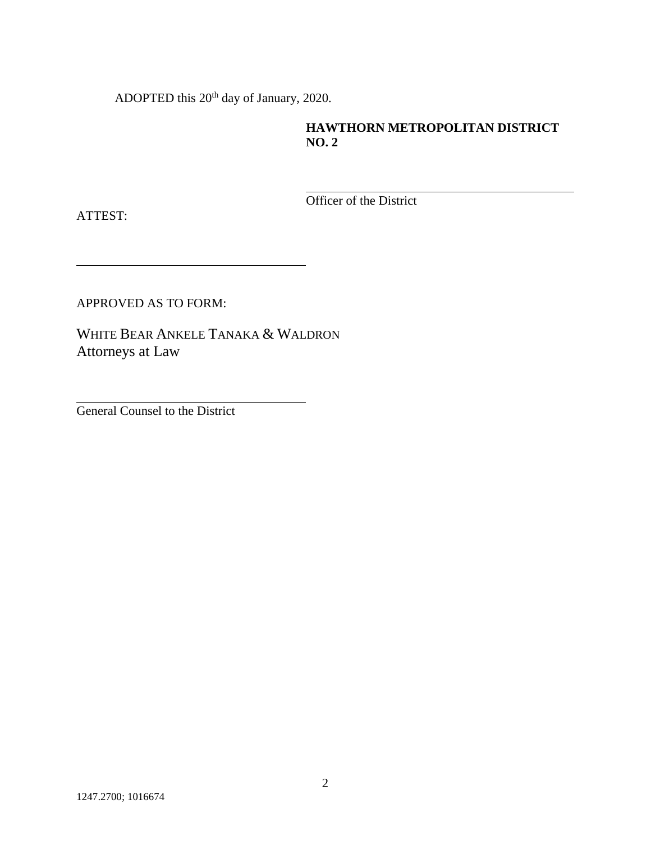ADOPTED this 20<sup>th</sup> day of January, 2020.

# **HAWTHORN METROPOLITAN DISTRICT NO. 2**

Officer of the District

ATTEST:

APPROVED AS TO FORM:

WHITE BEAR ANKELE TANAKA & WALDRON Attorneys at Law

General Counsel to the District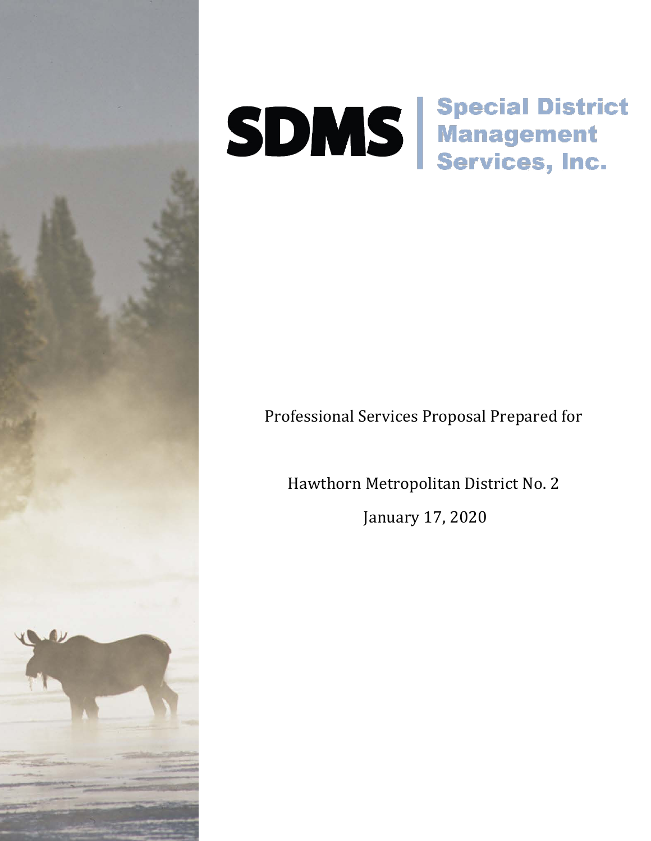

# SDMS Special District<br>SDMS Management<br>Services, Inc.

# Professional Services Proposal Prepared for

Hawthorn Metropolitan District No. 2

January 17, 2020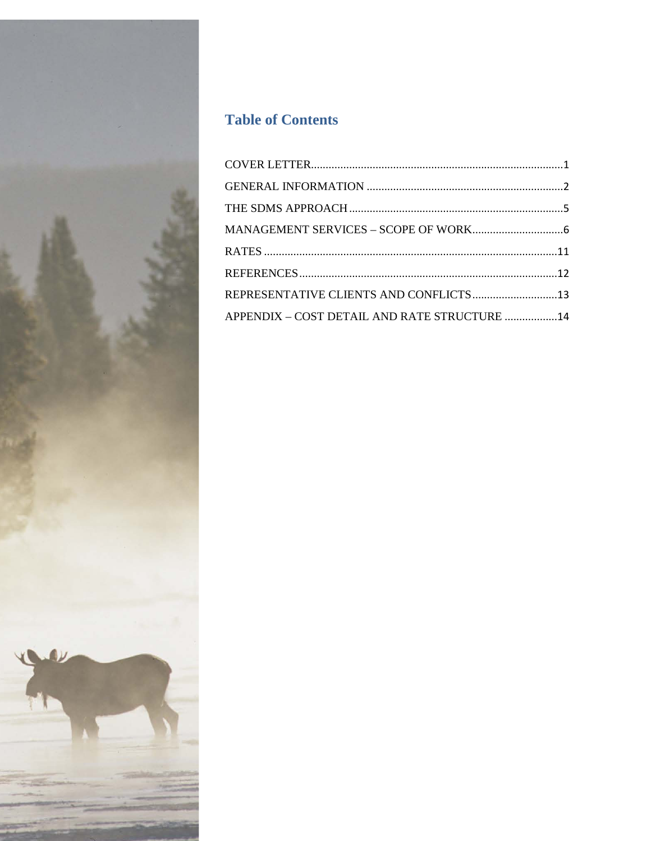

# **Table of Contents**

| REPRESENTATIVE CLIENTS AND CONFLICTS13       |  |
|----------------------------------------------|--|
| APPENDIX - COST DETAIL AND RATE STRUCTURE 14 |  |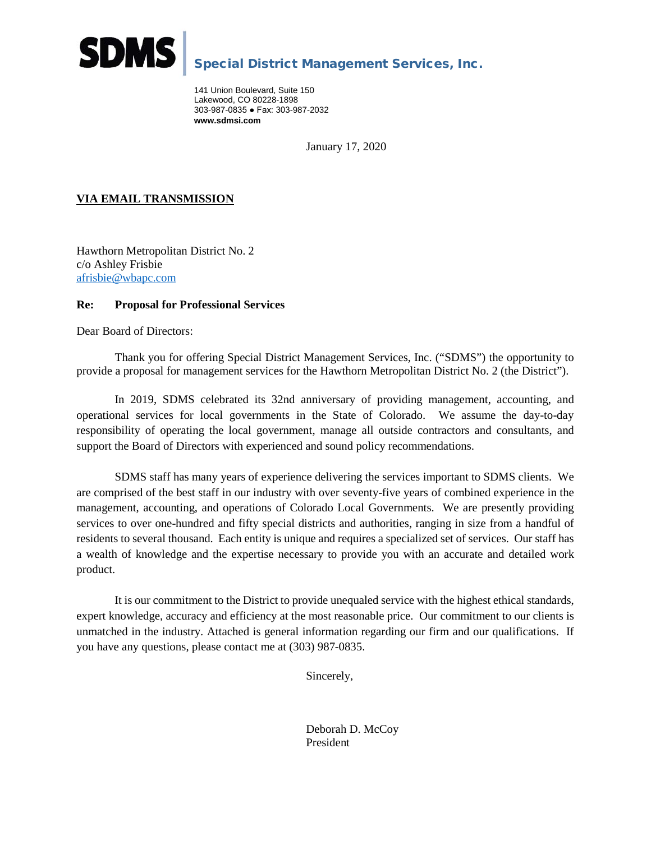

# Special District Management Services, Inc.

<span id="page-12-0"></span>141 Union Boulevard, Suite 150 Lakewood, CO 80228-1898 303-987-0835 ● Fax: 303-987-2032 **www.sdmsi.com**

January 17, 2020

## **VIA EMAIL TRANSMISSION**

Hawthorn Metropolitan District No. 2 c/o Ashley Frisbie [afrisbie@wbapc.com](mailto:ktompkins@wbapc.com)

#### **Re: Proposal for Professional Services**

Dear Board of Directors:

Thank you for offering Special District Management Services, Inc. ("SDMS") the opportunity to provide a proposal for management services for the Hawthorn Metropolitan District No. 2 (the District").

In 2019, SDMS celebrated its 32nd anniversary of providing management, accounting, and operational services for local governments in the State of Colorado. We assume the day-to-day responsibility of operating the local government, manage all outside contractors and consultants, and support the Board of Directors with experienced and sound policy recommendations.

SDMS staff has many years of experience delivering the services important to SDMS clients. We are comprised of the best staff in our industry with over seventy-five years of combined experience in the management, accounting, and operations of Colorado Local Governments. We are presently providing services to over one-hundred and fifty special districts and authorities, ranging in size from a handful of residents to several thousand. Each entity is unique and requires a specialized set of services. Our staff has a wealth of knowledge and the expertise necessary to provide you with an accurate and detailed work product.

It is our commitment to the District to provide unequaled service with the highest ethical standards, expert knowledge, accuracy and efficiency at the most reasonable price. Our commitment to our clients is unmatched in the industry. Attached is general information regarding our firm and our qualifications. If you have any questions, please contact me at (303) 987-0835.

Sincerely,

Deborah D. McCoy President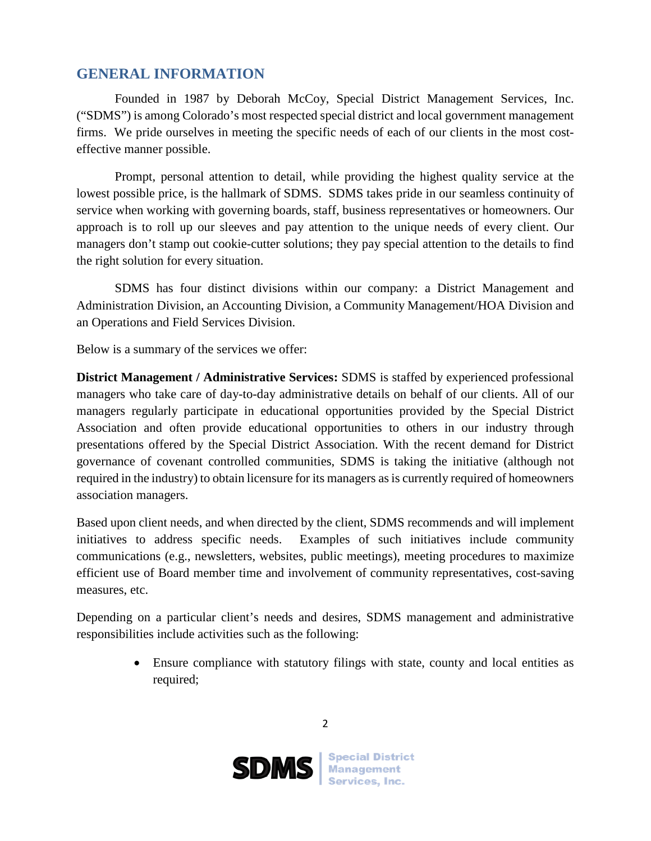# <span id="page-13-0"></span>**GENERAL INFORMATION**

Founded in 1987 by Deborah McCoy, Special District Management Services, Inc. ("SDMS") is among Colorado's most respected special district and local government management firms. We pride ourselves in meeting the specific needs of each of our clients in the most costeffective manner possible.

Prompt, personal attention to detail, while providing the highest quality service at the lowest possible price, is the hallmark of SDMS. SDMS takes pride in our seamless continuity of service when working with governing boards, staff, business representatives or homeowners. Our approach is to roll up our sleeves and pay attention to the unique needs of every client. Our managers don't stamp out cookie-cutter solutions; they pay special attention to the details to find the right solution for every situation.

SDMS has four distinct divisions within our company: a District Management and Administration Division, an Accounting Division, a Community Management/HOA Division and an Operations and Field Services Division.

Below is a summary of the services we offer:

**District Management / Administrative Services:** SDMS is staffed by experienced professional managers who take care of day-to-day administrative details on behalf of our clients. All of our managers regularly participate in educational opportunities provided by the Special District Association and often provide educational opportunities to others in our industry through presentations offered by the Special District Association. With the recent demand for District governance of covenant controlled communities, SDMS is taking the initiative (although not required in the industry) to obtain licensure for its managers as is currently required of homeowners association managers.

Based upon client needs, and when directed by the client, SDMS recommends and will implement initiatives to address specific needs. Examples of such initiatives include community communications (e.g., newsletters, websites, public meetings), meeting procedures to maximize efficient use of Board member time and involvement of community representatives, cost-saving measures, etc.

Depending on a particular client's needs and desires, SDMS management and administrative responsibilities include activities such as the following:

> • Ensure compliance with statutory filings with state, county and local entities as required;

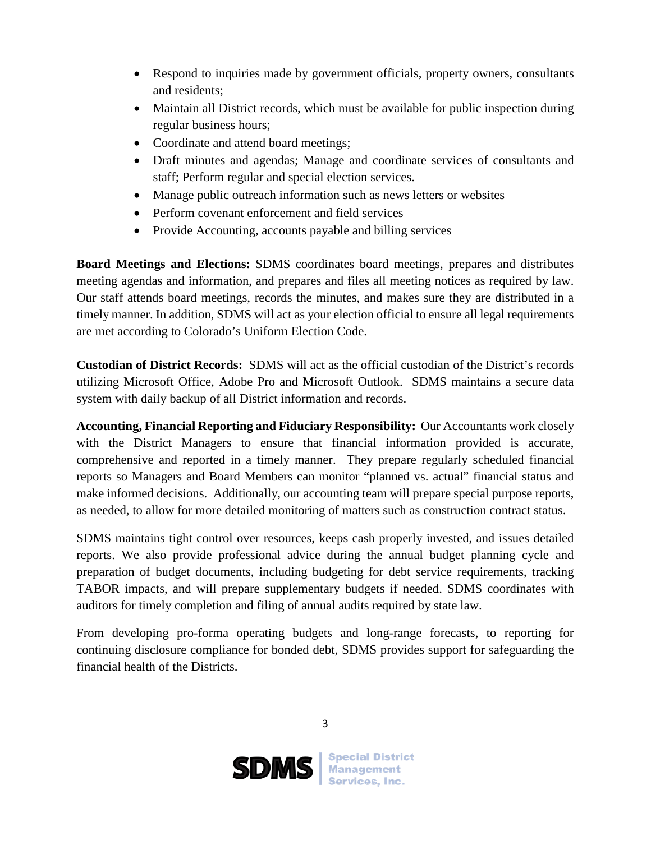- Respond to inquiries made by government officials, property owners, consultants and residents;
- Maintain all District records, which must be available for public inspection during regular business hours;
- Coordinate and attend board meetings;
- Draft minutes and agendas; Manage and coordinate services of consultants and staff; Perform regular and special election services.
- Manage public outreach information such as news letters or websites
- Perform covenant enforcement and field services
- Provide Accounting, accounts payable and billing services

**Board Meetings and Elections:** SDMS coordinates board meetings, prepares and distributes meeting agendas and information, and prepares and files all meeting notices as required by law. Our staff attends board meetings, records the minutes, and makes sure they are distributed in a timely manner. In addition, SDMS will act as your election official to ensure all legal requirements are met according to Colorado's Uniform Election Code.

**Custodian of District Records:** SDMS will act as the official custodian of the District's records utilizing Microsoft Office, Adobe Pro and Microsoft Outlook. SDMS maintains a secure data system with daily backup of all District information and records.

**Accounting, Financial Reporting and Fiduciary Responsibility:** Our Accountants work closely with the District Managers to ensure that financial information provided is accurate, comprehensive and reported in a timely manner. They prepare regularly scheduled financial reports so Managers and Board Members can monitor "planned vs. actual" financial status and make informed decisions. Additionally, our accounting team will prepare special purpose reports, as needed, to allow for more detailed monitoring of matters such as construction contract status.

SDMS maintains tight control over resources, keeps cash properly invested, and issues detailed reports. We also provide professional advice during the annual budget planning cycle and preparation of budget documents, including budgeting for debt service requirements, tracking TABOR impacts, and will prepare supplementary budgets if needed. SDMS coordinates with auditors for timely completion and filing of annual audits required by state law.

From developing pro-forma operating budgets and long-range forecasts, to reporting for continuing disclosure compliance for bonded debt, SDMS provides support for safeguarding the financial health of the Districts.

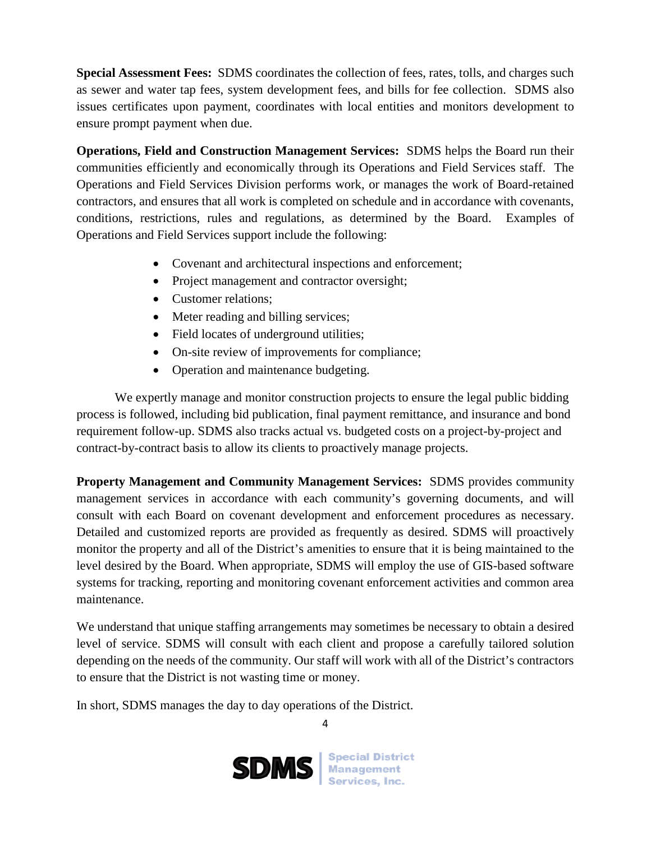**Special Assessment Fees:** SDMS coordinates the collection of fees, rates, tolls, and charges such as sewer and water tap fees, system development fees, and bills for fee collection. SDMS also issues certificates upon payment, coordinates with local entities and monitors development to ensure prompt payment when due.

**Operations, Field and Construction Management Services:** SDMS helps the Board run their communities efficiently and economically through its Operations and Field Services staff. The Operations and Field Services Division performs work, or manages the work of Board-retained contractors, and ensures that all work is completed on schedule and in accordance with covenants, conditions, restrictions, rules and regulations, as determined by the Board. Examples of Operations and Field Services support include the following:

- Covenant and architectural inspections and enforcement;
- Project management and contractor oversight;
- Customer relations:
- Meter reading and billing services;
- Field locates of underground utilities;
- On-site review of improvements for compliance;
- Operation and maintenance budgeting.

We expertly manage and monitor construction projects to ensure the legal public bidding process is followed, including bid publication, final payment remittance, and insurance and bond requirement follow-up. SDMS also tracks actual vs. budgeted costs on a project-by-project and contract-by-contract basis to allow its clients to proactively manage projects.

**Property Management and Community Management Services:** SDMS provides community management services in accordance with each community's governing documents, and will consult with each Board on covenant development and enforcement procedures as necessary. Detailed and customized reports are provided as frequently as desired. SDMS will proactively monitor the property and all of the District's amenities to ensure that it is being maintained to the level desired by the Board. When appropriate, SDMS will employ the use of GIS-based software systems for tracking, reporting and monitoring covenant enforcement activities and common area maintenance.

We understand that unique staffing arrangements may sometimes be necessary to obtain a desired level of service. SDMS will consult with each client and propose a carefully tailored solution depending on the needs of the community. Our staff will work with all of the District's contractors to ensure that the District is not wasting time or money.

In short, SDMS manages the day to day operations of the District.

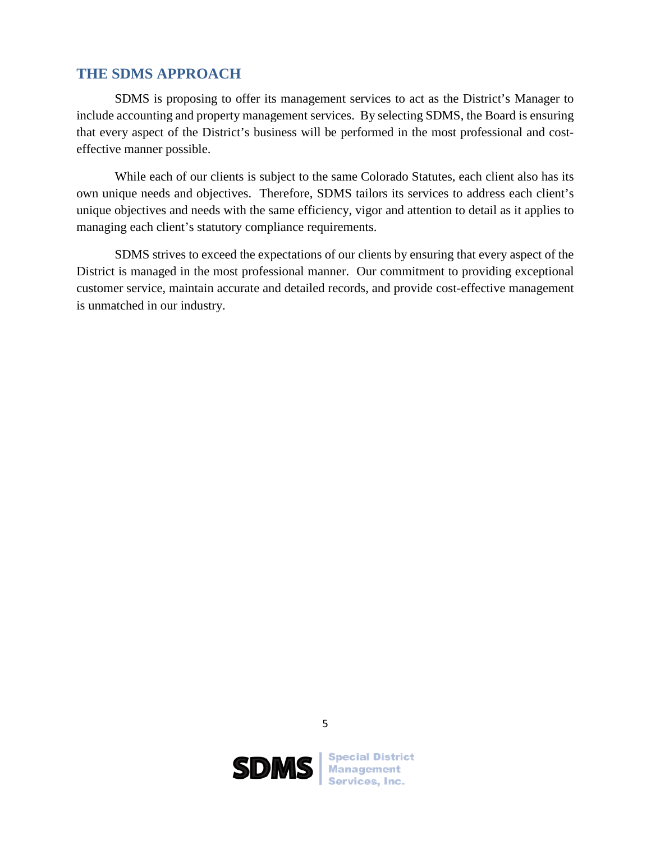# <span id="page-16-0"></span>**THE SDMS APPROACH**

SDMS is proposing to offer its management services to act as the District's Manager to include accounting and property management services. By selecting SDMS, the Board is ensuring that every aspect of the District's business will be performed in the most professional and costeffective manner possible.

While each of our clients is subject to the same Colorado Statutes, each client also has its own unique needs and objectives. Therefore, SDMS tailors its services to address each client's unique objectives and needs with the same efficiency, vigor and attention to detail as it applies to managing each client's statutory compliance requirements.

SDMS strives to exceed the expectations of our clients by ensuring that every aspect of the District is managed in the most professional manner. Our commitment to providing exceptional customer service, maintain accurate and detailed records, and provide cost-effective management is unmatched in our industry.



5

**SDMS** Management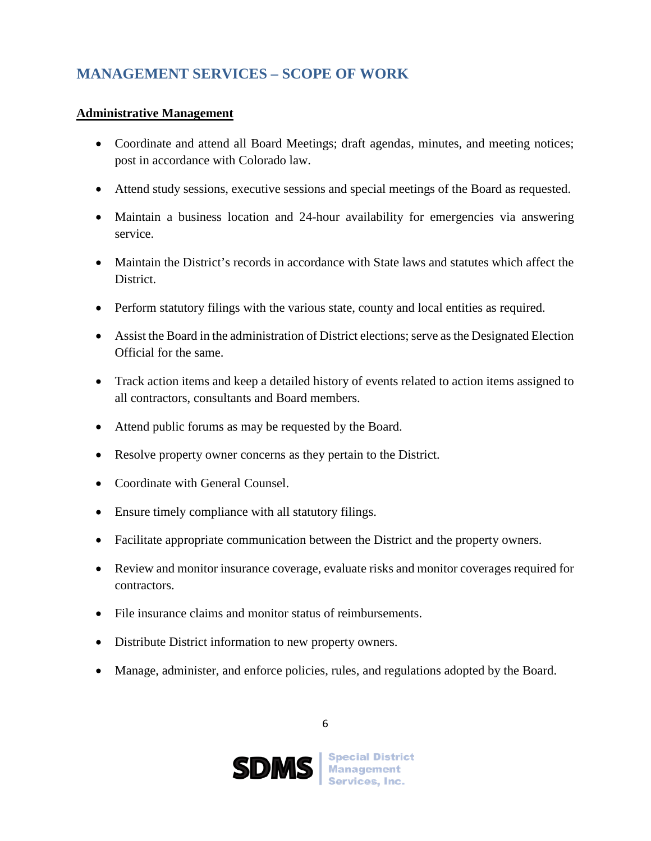# <span id="page-17-0"></span>**MANAGEMENT SERVICES – SCOPE OF WORK**

# **Administrative Management**

- Coordinate and attend all Board Meetings; draft agendas, minutes, and meeting notices; post in accordance with Colorado law.
- Attend study sessions, executive sessions and special meetings of the Board as requested.
- Maintain a business location and 24-hour availability for emergencies via answering service.
- Maintain the District's records in accordance with State laws and statutes which affect the District.
- Perform statutory filings with the various state, county and local entities as required.
- Assist the Board in the administration of District elections; serve as the Designated Election Official for the same.
- Track action items and keep a detailed history of events related to action items assigned to all contractors, consultants and Board members.
- Attend public forums as may be requested by the Board.
- Resolve property owner concerns as they pertain to the District.
- Coordinate with General Counsel.
- Ensure timely compliance with all statutory filings.
- Facilitate appropriate communication between the District and the property owners.
- Review and monitor insurance coverage, evaluate risks and monitor coverages required for contractors.
- File insurance claims and monitor status of reimbursements.
- Distribute District information to new property owners.
- Manage, administer, and enforce policies, rules, and regulations adopted by the Board.

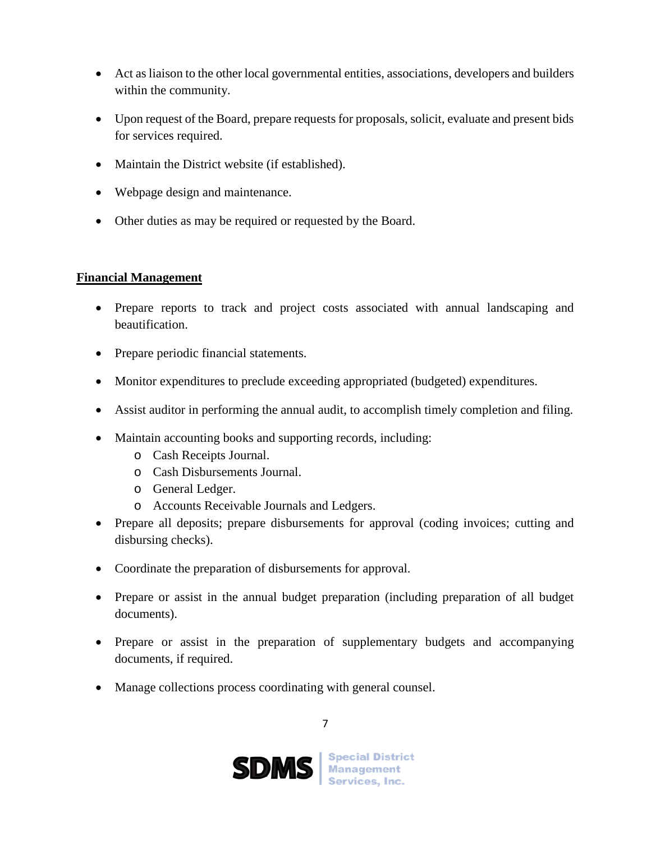- Act as liaison to the other local governmental entities, associations, developers and builders within the community.
- Upon request of the Board, prepare requests for proposals, solicit, evaluate and present bids for services required.
- Maintain the District website (if established).
- Webpage design and maintenance.
- Other duties as may be required or requested by the Board.

# **Financial Management**

- Prepare reports to track and project costs associated with annual landscaping and beautification.
- Prepare periodic financial statements.
- Monitor expenditures to preclude exceeding appropriated (budgeted) expenditures.
- Assist auditor in performing the annual audit, to accomplish timely completion and filing.
- Maintain accounting books and supporting records, including:
	- o Cash Receipts Journal.
	- o Cash Disbursements Journal.
	- o General Ledger.
	- o Accounts Receivable Journals and Ledgers.
- Prepare all deposits; prepare disbursements for approval (coding invoices; cutting and disbursing checks).
- Coordinate the preparation of disbursements for approval.
- Prepare or assist in the annual budget preparation (including preparation of all budget documents).
- Prepare or assist in the preparation of supplementary budgets and accompanying documents, if required.
- Manage collections process coordinating with general counsel.

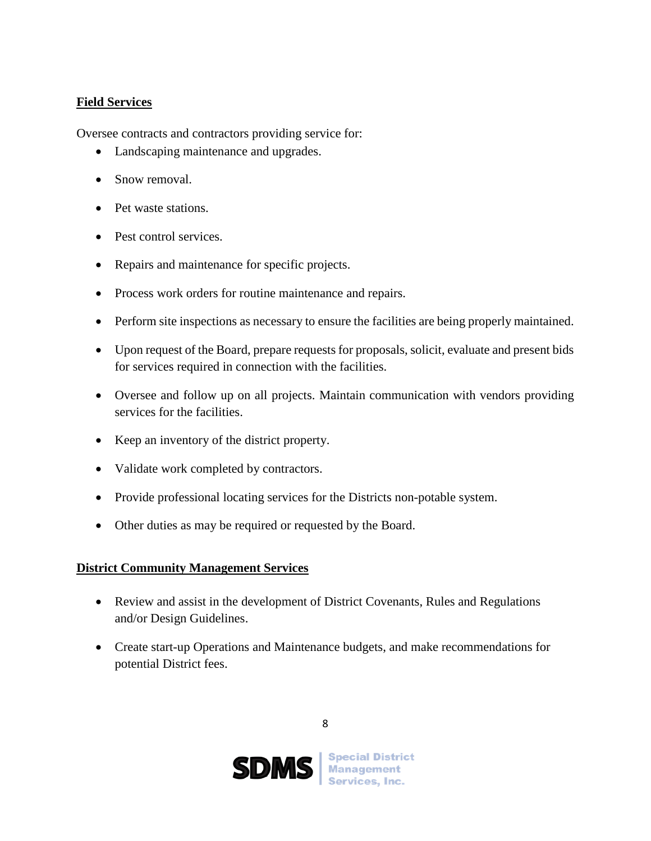# **Field Services**

Oversee contracts and contractors providing service for:

- Landscaping maintenance and upgrades.
- Snow removal.
- Pet waste stations.
- Pest control services.
- Repairs and maintenance for specific projects.
- Process work orders for routine maintenance and repairs.
- Perform site inspections as necessary to ensure the facilities are being properly maintained.
- Upon request of the Board, prepare requests for proposals, solicit, evaluate and present bids for services required in connection with the facilities.
- Oversee and follow up on all projects. Maintain communication with vendors providing services for the facilities.
- Keep an inventory of the district property.
- Validate work completed by contractors.
- Provide professional locating services for the Districts non-potable system.
- Other duties as may be required or requested by the Board.

# **District Community Management Services**

- Review and assist in the development of District Covenants, Rules and Regulations and/or Design Guidelines.
- Create start-up Operations and Maintenance budgets, and make recommendations for potential District fees.

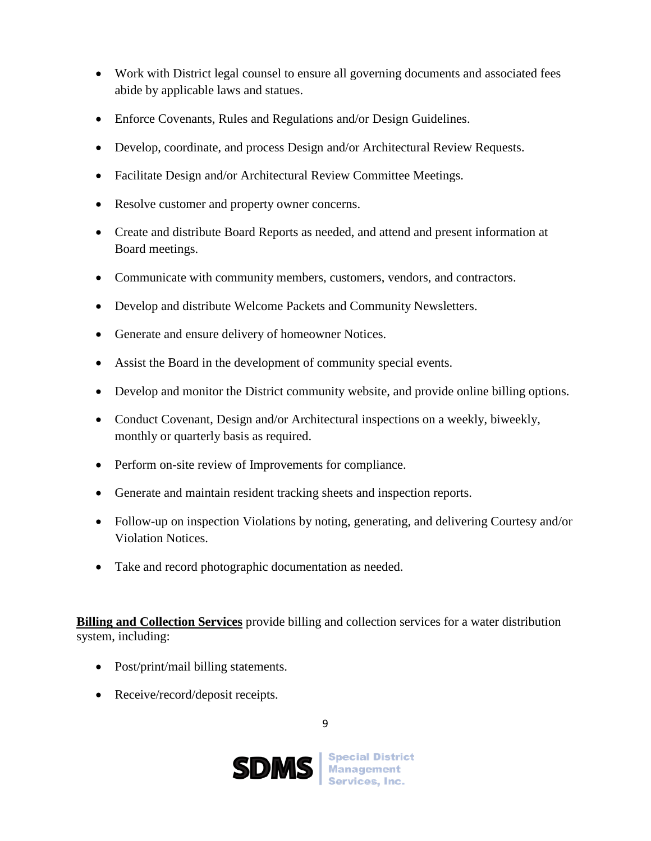- Work with District legal counsel to ensure all governing documents and associated fees abide by applicable laws and statues.
- Enforce Covenants, Rules and Regulations and/or Design Guidelines.
- Develop, coordinate, and process Design and/or Architectural Review Requests.
- Facilitate Design and/or Architectural Review Committee Meetings.
- Resolve customer and property owner concerns.
- Create and distribute Board Reports as needed, and attend and present information at Board meetings.
- Communicate with community members, customers, vendors, and contractors.
- Develop and distribute Welcome Packets and Community Newsletters.
- Generate and ensure delivery of homeowner Notices.
- Assist the Board in the development of community special events.
- Develop and monitor the District community website, and provide online billing options.
- Conduct Covenant, Design and/or Architectural inspections on a weekly, biweekly, monthly or quarterly basis as required.
- Perform on-site review of Improvements for compliance.
- Generate and maintain resident tracking sheets and inspection reports.
- Follow-up on inspection Violations by noting, generating, and delivering Courtesy and/or Violation Notices.
- Take and record photographic documentation as needed.

**Billing and Collection Services** provide billing and collection services for a water distribution system, including:

- Post/print/mail billing statements.
- Receive/record/deposit receipts.

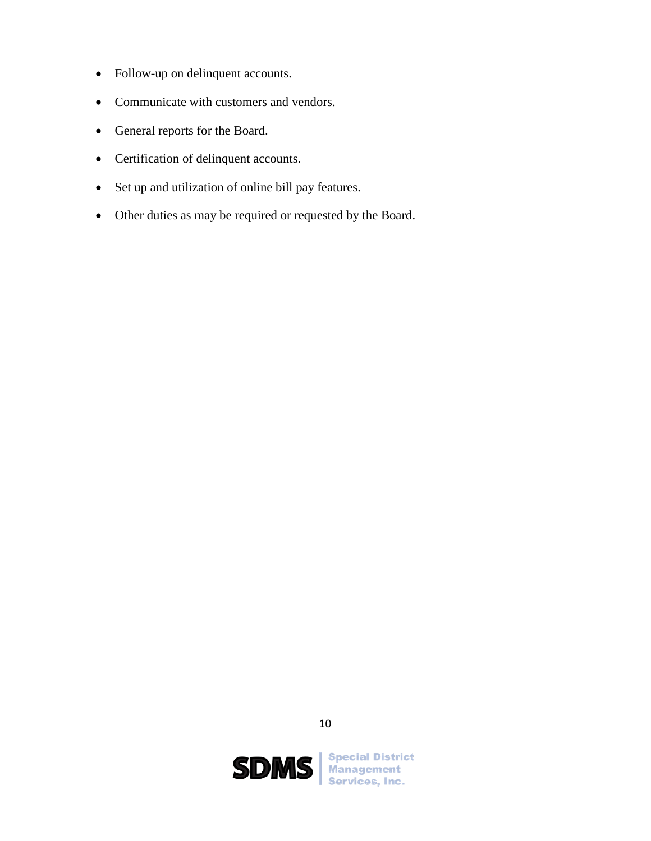- Follow-up on delinquent accounts.
- Communicate with customers and vendors.
- General reports for the Board.
- Certification of delinquent accounts.
- Set up and utilization of online bill pay features.
- <span id="page-21-0"></span>• Other duties as may be required or requested by the Board.



10

**SDMS** Management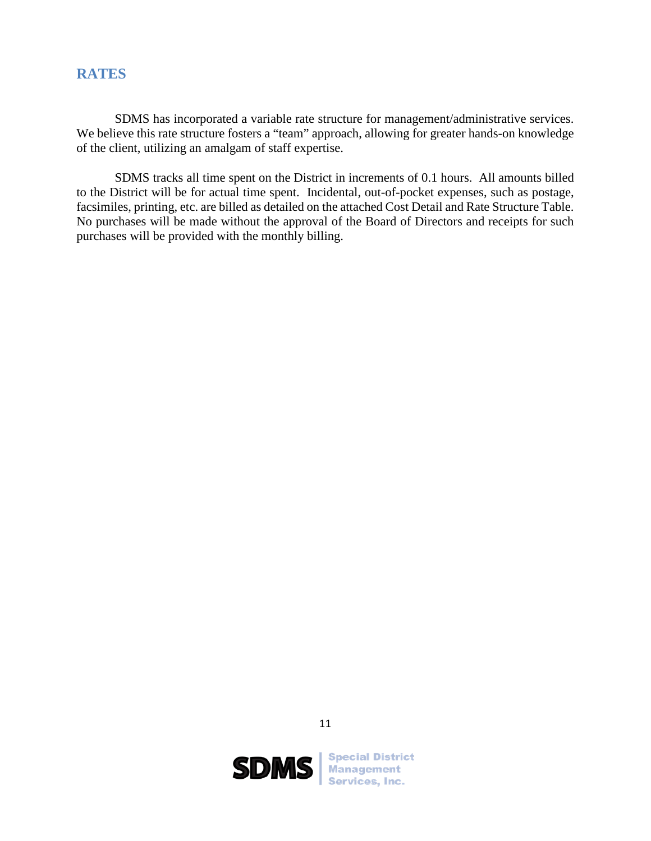# **RATES**

SDMS has incorporated a variable rate structure for management/administrative services. We believe this rate structure fosters a "team" approach, allowing for greater hands-on knowledge of the client, utilizing an amalgam of staff expertise.

SDMS tracks all time spent on the District in increments of 0.1 hours. All amounts billed to the District will be for actual time spent. Incidental, out-of-pocket expenses, such as postage, facsimiles, printing, etc. are billed as detailed on the attached Cost Detail and Rate Structure Table. No purchases will be made without the approval of the Board of Directors and receipts for such purchases will be provided with the monthly billing.



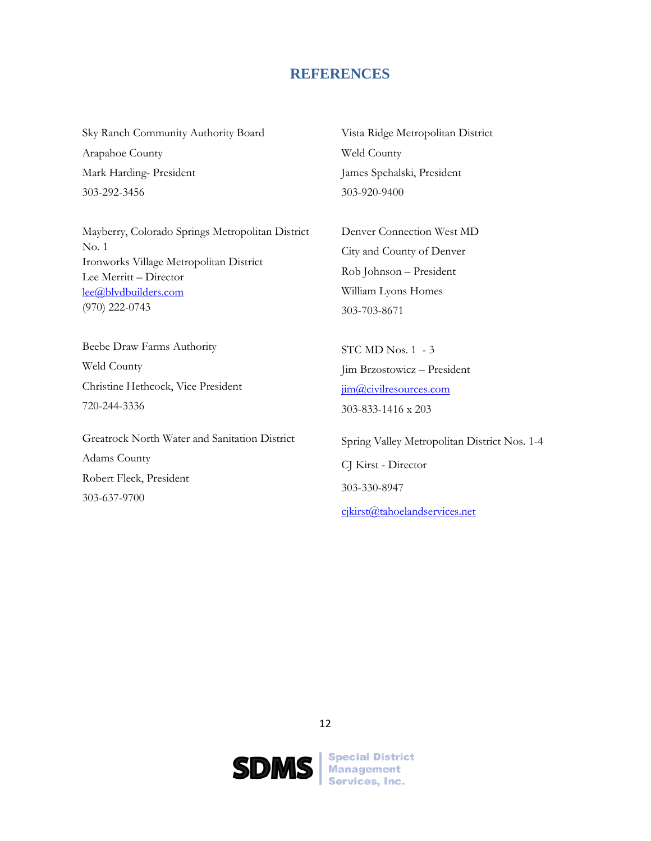## **REFERENCES**

<span id="page-23-0"></span>Sky Ranch Community Authority Board Arapahoe County Mark Harding- President 303-292-3456

Mayberry, Colorado Springs Metropolitan District No. 1 Ironworks Village Metropolitan District Lee Merritt – Director [lee@blvdbuilders.com](mailto:lee@blvdbuilders.com) (970) 222-0743

Beebe Draw Farms Authority Weld County Christine Hethcock, Vice President 720-244-3336

<span id="page-23-1"></span>Greatrock North Water and Sanitation District Adams County Robert Fleck, President 303-637-9700

Vista Ridge Metropolitan District Weld County James Spehalski, President 303-920-9400

Denver Connection West MD City and County of Denver Rob Johnson – President William Lyons Homes 303-703-8671

STC MD Nos. 1 - 3 Jim Brzostowicz – President [jim@civilresources.com](mailto:jim@civilresources.com) 303-833-1416 x 203

Spring Valley Metropolitan District Nos. 1-4 CJ Kirst - Director 303-330-8947 [cjkirst@tahoelandservices.net](mailto:cjkirst@tahoelandservices.net)

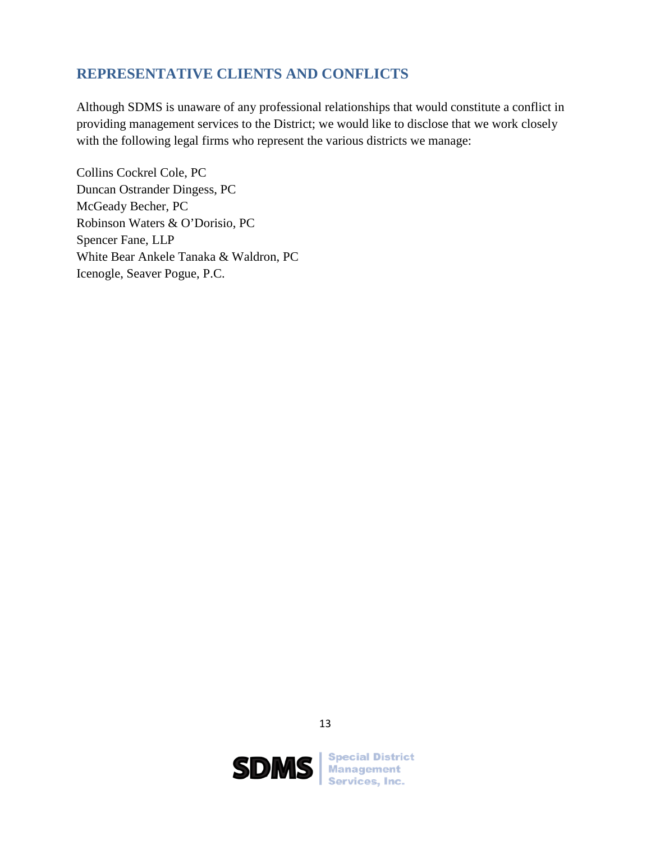# **REPRESENTATIVE CLIENTS AND CONFLICTS**

Although SDMS is unaware of any professional relationships that would constitute a conflict in providing management services to the District; we would like to disclose that we work closely with the following legal firms who represent the various districts we manage:

Collins Cockrel Cole, PC Duncan Ostrander Dingess, PC McGeady Becher, PC Robinson Waters & O'Dorisio, PC Spencer Fane, LLP White Bear Ankele Tanaka & Waldron, PC Icenogle, Seaver Pogue, P.C.



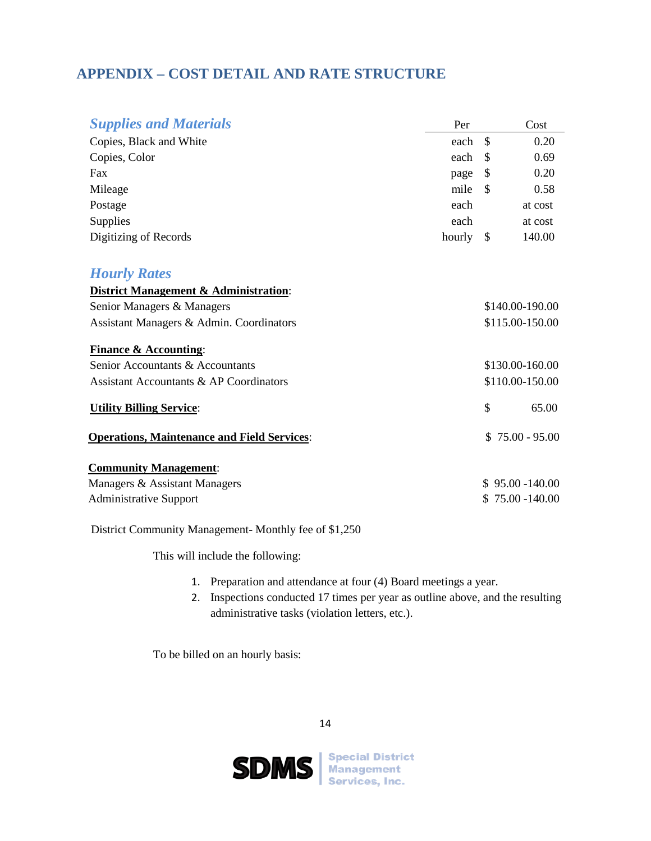# <span id="page-25-0"></span>**APPENDIX – COST DETAIL AND RATE STRUCTURE**

| <b>Supplies and Materials</b>                      | Per       |               | Cost              |
|----------------------------------------------------|-----------|---------------|-------------------|
| Copies, Black and White                            | each      | $\mathcal{S}$ | 0.20              |
| Copies, Color                                      | each      | \$            | 0.69              |
| Fax                                                | page      | \$            | 0.20              |
| Mileage                                            | mile      | \$            | 0.58              |
| Postage                                            | each      |               | at cost           |
| Supplies                                           | each      |               | at cost           |
| Digitizing of Records                              | hourly \$ |               | 140.00            |
| <b>Hourly Rates</b>                                |           |               |                   |
| District Management & Administration:              |           |               |                   |
| Senior Managers & Managers                         |           |               | \$140.00-190.00   |
| Assistant Managers & Admin. Coordinators           |           |               | \$115.00-150.00   |
| <b>Finance &amp; Accounting:</b>                   |           |               |                   |
| Senior Accountants & Accountants                   |           |               | \$130.00-160.00   |
| <b>Assistant Accountants &amp; AP Coordinators</b> |           |               | \$110.00-150.00   |
| <b>Utility Billing Service:</b>                    |           | $\mathcal{S}$ | 65.00             |
| <b>Operations, Maintenance and Field Services:</b> |           |               | $$75.00 - 95.00$  |
| <b>Community Management:</b>                       |           |               |                   |
| Managers & Assistant Managers                      |           |               | $$95.00 - 140.00$ |
| <b>Administrative Support</b>                      |           |               | 75.00 -140.00     |

District Community Management- Monthly fee of \$1,250

This will include the following:

- 1. Preparation and attendance at four (4) Board meetings a year.
- 2. Inspections conducted 17 times per year as outline above, and the resulting administrative tasks (violation letters, etc.).

To be billed on an hourly basis:



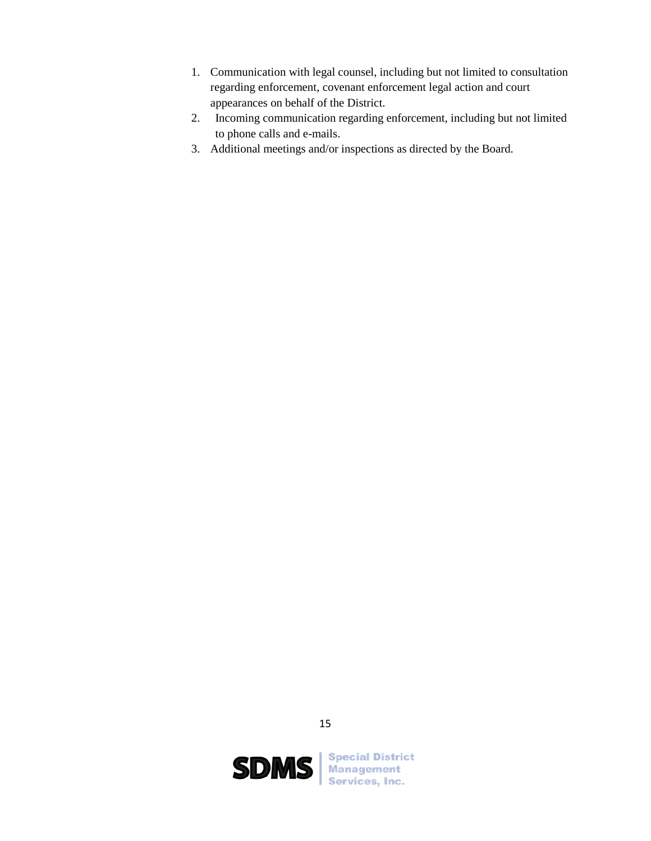- 1. Communication with legal counsel, including but not limited to consultation regarding enforcement, covenant enforcement legal action and court appearances on behalf of the District.
- 2. Incoming communication regarding enforcement, including but not limited to phone calls and e-mails.
- 3. Additional meetings and/or inspections as directed by the Board.



15

**SDMS** Management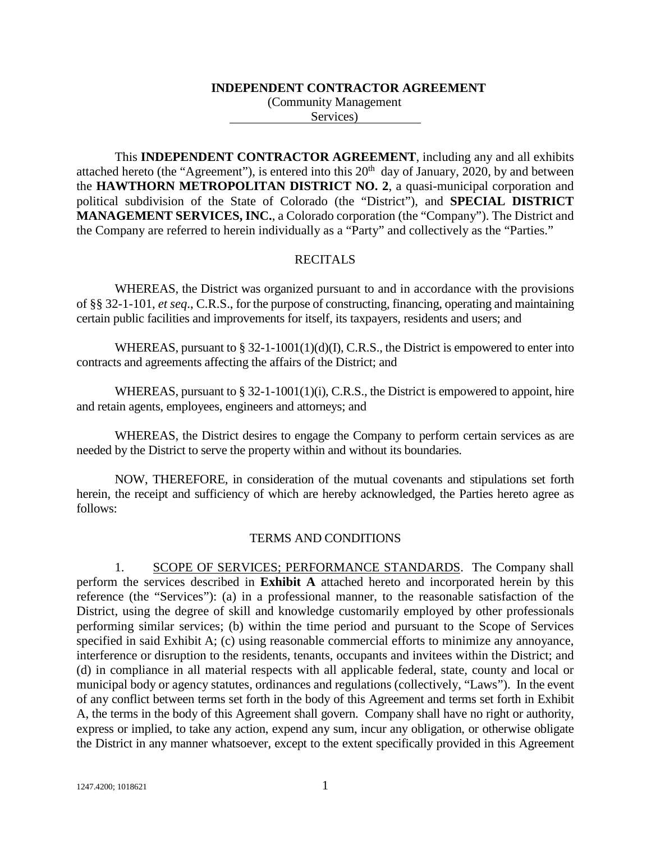#### **INDEPENDENT CONTRACTOR AGREEMENT**

(Community Management Services)

This **INDEPENDENT CONTRACTOR AGREEMENT**, including any and all exhibits attached hereto (the "Agreement"), is entered into this  $20<sup>th</sup>$  day of January, 2020, by and between the **HAWTHORN METROPOLITAN DISTRICT NO. 2**, a quasi-municipal corporation and political subdivision of the State of Colorado (the "District"), and **SPECIAL DISTRICT MANAGEMENT SERVICES, INC.**, a Colorado corporation (the "Company"). The District and the Company are referred to herein individually as a "Party" and collectively as the "Parties."

## RECITALS

WHEREAS, the District was organized pursuant to and in accordance with the provisions of §§ 32-1-101, *et seq*., C.R.S., for the purpose of constructing, financing, operating and maintaining certain public facilities and improvements for itself, its taxpayers, residents and users; and

WHEREAS, pursuant to  $\S 32-1-1001(1)(d)(I)$ , C.R.S., the District is empowered to enter into contracts and agreements affecting the affairs of the District; and

WHEREAS, pursuant to § 32-1-1001(1)(i), C.R.S., the District is empowered to appoint, hire and retain agents, employees, engineers and attorneys; and

WHEREAS, the District desires to engage the Company to perform certain services as are needed by the District to serve the property within and without its boundaries.

NOW, THEREFORE, in consideration of the mutual covenants and stipulations set forth herein, the receipt and sufficiency of which are hereby acknowledged, the Parties hereto agree as follows:

#### TERMS AND CONDITIONS

1. SCOPE OF SERVICES; PERFORMANCE STANDARDS. The Company shall perform the services described in **Exhibit A** attached hereto and incorporated herein by this reference (the "Services"): (a) in a professional manner, to the reasonable satisfaction of the District, using the degree of skill and knowledge customarily employed by other professionals performing similar services; (b) within the time period and pursuant to the Scope of Services specified in said Exhibit A; (c) using reasonable commercial efforts to minimize any annoyance, interference or disruption to the residents, tenants, occupants and invitees within the District; and (d) in compliance in all material respects with all applicable federal, state, county and local or municipal body or agency statutes, ordinances and regulations (collectively, "Laws"). In the event of any conflict between terms set forth in the body of this Agreement and terms set forth in Exhibit A, the terms in the body of this Agreement shall govern. Company shall have no right or authority, express or implied, to take any action, expend any sum, incur any obligation, or otherwise obligate the District in any manner whatsoever, except to the extent specifically provided in this Agreement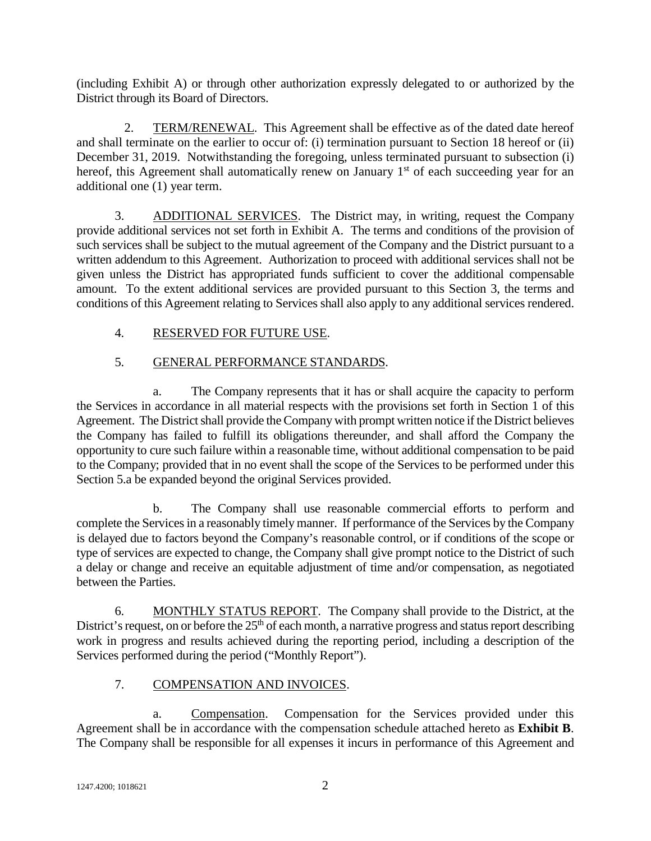(including Exhibit A) or through other authorization expressly delegated to or authorized by the District through its Board of Directors.

2. TERM/RENEWAL. This Agreement shall be effective as of the dated date hereof and shall terminate on the earlier to occur of: (i) termination pursuant to Section 18 hereof or (ii) December 31, 2019. Notwithstanding the foregoing, unless terminated pursuant to subsection (i) hereof, this Agreement shall automatically renew on January 1<sup>st</sup> of each succeeding year for an additional one (1) year term.

3. ADDITIONAL SERVICES. The District may, in writing, request the Company provide additional services not set forth in Exhibit A. The terms and conditions of the provision of such services shall be subject to the mutual agreement of the Company and the District pursuant to a written addendum to this Agreement. Authorization to proceed with additional services shall not be given unless the District has appropriated funds sufficient to cover the additional compensable amount. To the extent additional services are provided pursuant to this Section 3, the terms and conditions of this Agreement relating to Services shall also apply to any additional services rendered.

# 4. RESERVED FOR FUTURE USE.

# 5. GENERAL PERFORMANCE STANDARDS.

a. The Company represents that it has or shall acquire the capacity to perform the Services in accordance in all material respects with the provisions set forth in Section 1 of this Agreement. The District shall provide the Company with prompt written notice if the District believes the Company has failed to fulfill its obligations thereunder, and shall afford the Company the opportunity to cure such failure within a reasonable time, without additional compensation to be paid to the Company; provided that in no event shall the scope of the Services to be performed under this Section 5.a be expanded beyond the original Services provided.

b. The Company shall use reasonable commercial efforts to perform and complete the Services in a reasonably timely manner. If performance of the Services by the Company is delayed due to factors beyond the Company's reasonable control, or if conditions of the scope or type of services are expected to change, the Company shall give prompt notice to the District of such a delay or change and receive an equitable adjustment of time and/or compensation, as negotiated between the Parties.

6. MONTHLY STATUS REPORT. The Company shall provide to the District, at the District's request, on or before the  $25<sup>th</sup>$  of each month, a narrative progress and status report describing work in progress and results achieved during the reporting period, including a description of the Services performed during the period ("Monthly Report").

# 7. COMPENSATION AND INVOICES.

a. Compensation. Compensation for the Services provided under this Agreement shall be in accordance with the compensation schedule attached hereto as **Exhibit B**. The Company shall be responsible for all expenses it incurs in performance of this Agreement and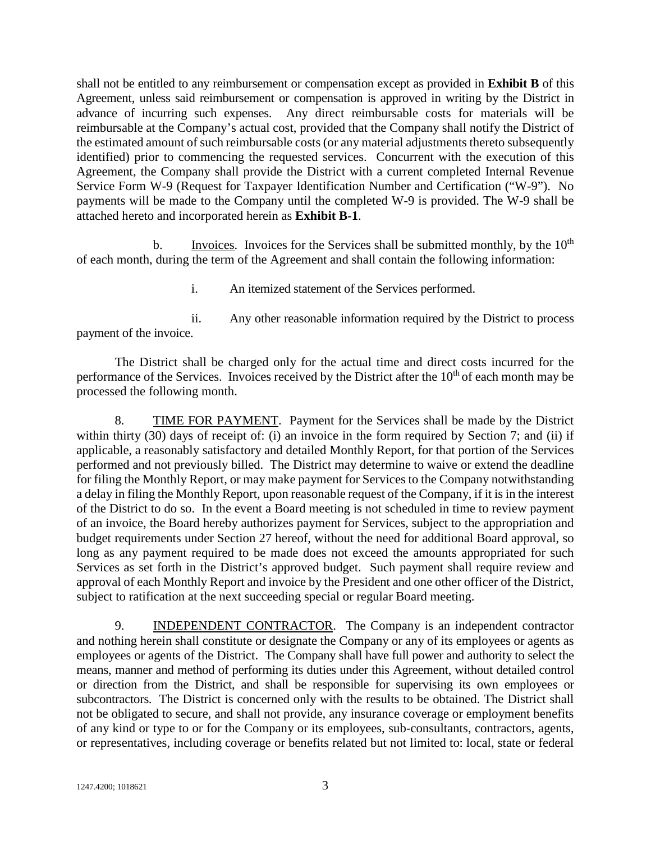shall not be entitled to any reimbursement or compensation except as provided in **Exhibit B** of this Agreement, unless said reimbursement or compensation is approved in writing by the District in advance of incurring such expenses. Any direct reimbursable costs for materials will be reimbursable at the Company's actual cost, provided that the Company shall notify the District of the estimated amount of such reimbursable costs (or any material adjustments thereto subsequently identified) prior to commencing the requested services. Concurrent with the execution of this Agreement, the Company shall provide the District with a current completed Internal Revenue Service Form W-9 (Request for Taxpayer Identification Number and Certification ("W-9"). No payments will be made to the Company until the completed W-9 is provided. The W-9 shall be attached hereto and incorporated herein as **Exhibit B-1**.

b. Invoices. Invoices for the Services shall be submitted monthly, by the  $10<sup>th</sup>$ of each month, during the term of the Agreement and shall contain the following information:

i. An itemized statement of the Services performed.

ii. Any other reasonable information required by the District to process payment of the invoice.

The District shall be charged only for the actual time and direct costs incurred for the performance of the Services. Invoices received by the District after the  $10<sup>th</sup>$  of each month may be processed the following month.

8. TIME FOR PAYMENT. Payment for the Services shall be made by the District within thirty (30) days of receipt of: (i) an invoice in the form required by Section 7; and (ii) if applicable, a reasonably satisfactory and detailed Monthly Report, for that portion of the Services performed and not previously billed. The District may determine to waive or extend the deadline for filing the Monthly Report, or may make payment for Services to the Company notwithstanding a delay in filing the Monthly Report, upon reasonable request of the Company, if it is in the interest of the District to do so. In the event a Board meeting is not scheduled in time to review payment of an invoice, the Board hereby authorizes payment for Services, subject to the appropriation and budget requirements under Section 27 hereof, without the need for additional Board approval, so long as any payment required to be made does not exceed the amounts appropriated for such Services as set forth in the District's approved budget. Such payment shall require review and approval of each Monthly Report and invoice by the President and one other officer of the District, subject to ratification at the next succeeding special or regular Board meeting.

9. INDEPENDENT CONTRACTOR. The Company is an independent contractor and nothing herein shall constitute or designate the Company or any of its employees or agents as employees or agents of the District. The Company shall have full power and authority to select the means, manner and method of performing its duties under this Agreement, without detailed control or direction from the District, and shall be responsible for supervising its own employees or subcontractors. The District is concerned only with the results to be obtained. The District shall not be obligated to secure, and shall not provide, any insurance coverage or employment benefits of any kind or type to or for the Company or its employees, sub-consultants, contractors, agents, or representatives, including coverage or benefits related but not limited to: local, state or federal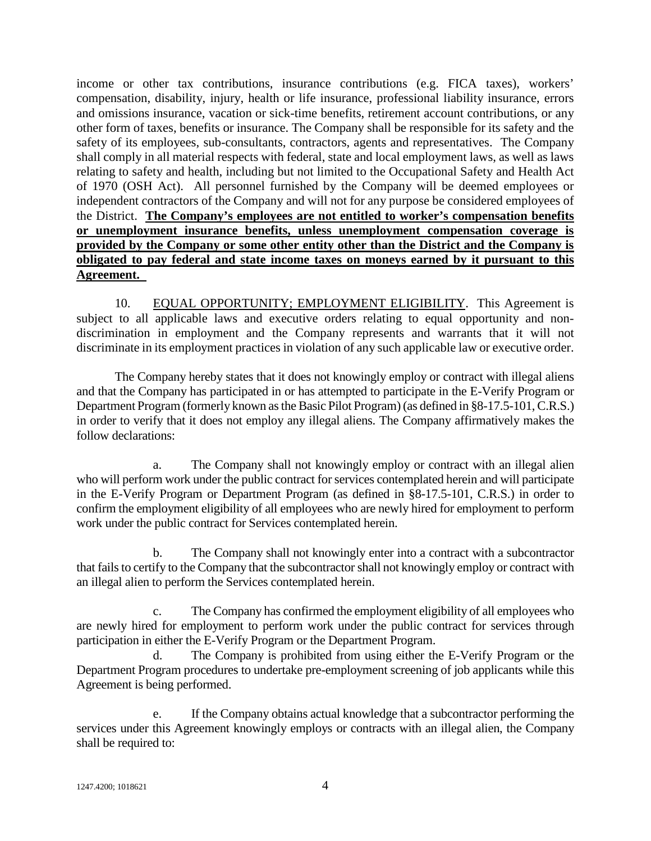income or other tax contributions, insurance contributions (e.g. FICA taxes), workers' compensation, disability, injury, health or life insurance, professional liability insurance, errors and omissions insurance, vacation or sick-time benefits, retirement account contributions, or any other form of taxes, benefits or insurance. The Company shall be responsible for its safety and the safety of its employees, sub-consultants, contractors, agents and representatives. The Company shall comply in all material respects with federal, state and local employment laws, as well as laws relating to safety and health, including but not limited to the Occupational Safety and Health Act of 1970 (OSH Act). All personnel furnished by the Company will be deemed employees or independent contractors of the Company and will not for any purpose be considered employees of the District. **The Company's employees are not entitled to worker's compensation benefits or unemployment insurance benefits, unless unemployment compensation coverage is provided by the Company or some other entity other than the District and the Company is obligated to pay federal and state income taxes on moneys earned by it pursuant to this Agreement.** 

10. EQUAL OPPORTUNITY; EMPLOYMENT ELIGIBILITY. This Agreement is subject to all applicable laws and executive orders relating to equal opportunity and nondiscrimination in employment and the Company represents and warrants that it will not discriminate in its employment practices in violation of any such applicable law or executive order.

The Company hereby states that it does not knowingly employ or contract with illegal aliens and that the Company has participated in or has attempted to participate in the E-Verify Program or Department Program (formerly known as the Basic Pilot Program) (as defined in §8-17.5-101, C.R.S.) in order to verify that it does not employ any illegal aliens. The Company affirmatively makes the follow declarations:

a. The Company shall not knowingly employ or contract with an illegal alien who will perform work under the public contract for services contemplated herein and will participate in the E-Verify Program or Department Program (as defined in §8-17.5-101, C.R.S.) in order to confirm the employment eligibility of all employees who are newly hired for employment to perform work under the public contract for Services contemplated herein.

b. The Company shall not knowingly enter into a contract with a subcontractor that fails to certify to the Company that the subcontractor shall not knowingly employ or contract with an illegal alien to perform the Services contemplated herein.

c. The Company has confirmed the employment eligibility of all employees who are newly hired for employment to perform work under the public contract for services through participation in either the E-Verify Program or the Department Program.

d. The Company is prohibited from using either the E-Verify Program or the Department Program procedures to undertake pre-employment screening of job applicants while this Agreement is being performed.

If the Company obtains actual knowledge that a subcontractor performing the services under this Agreement knowingly employs or contracts with an illegal alien, the Company shall be required to: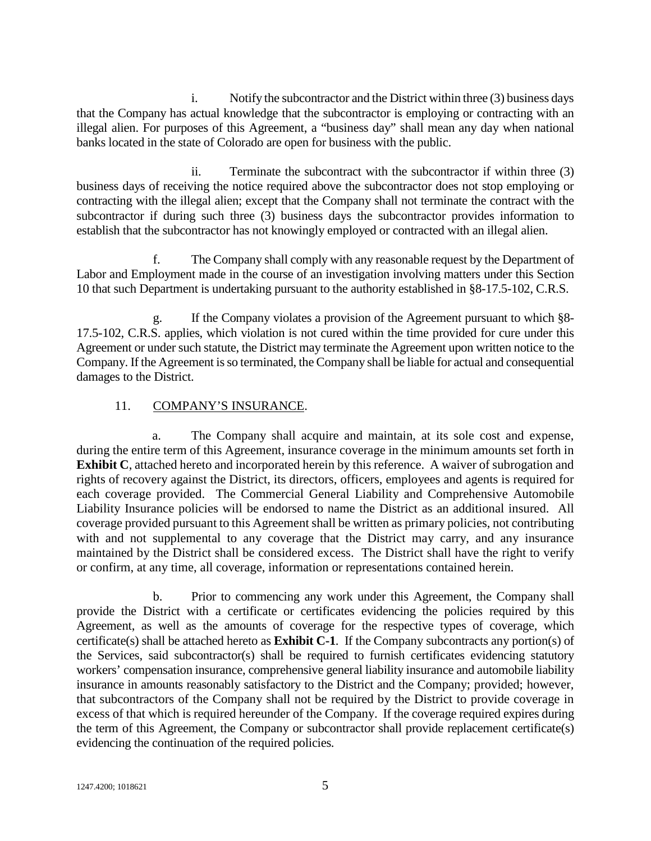i. Notify the subcontractor and the District within three (3) business days that the Company has actual knowledge that the subcontractor is employing or contracting with an illegal alien. For purposes of this Agreement, a "business day" shall mean any day when national banks located in the state of Colorado are open for business with the public.

ii. Terminate the subcontract with the subcontractor if within three (3) business days of receiving the notice required above the subcontractor does not stop employing or contracting with the illegal alien; except that the Company shall not terminate the contract with the subcontractor if during such three (3) business days the subcontractor provides information to establish that the subcontractor has not knowingly employed or contracted with an illegal alien.

f. The Company shall comply with any reasonable request by the Department of Labor and Employment made in the course of an investigation involving matters under this Section 10 that such Department is undertaking pursuant to the authority established in §8-17.5-102, C.R.S.

If the Company violates a provision of the Agreement pursuant to which §8-17.5-102, C.R.S. applies, which violation is not cured within the time provided for cure under this Agreement or under such statute, the District may terminate the Agreement upon written notice to the Company. If the Agreement is so terminated, the Company shall be liable for actual and consequential damages to the District.

# 11. COMPANY'S INSURANCE.

a. The Company shall acquire and maintain, at its sole cost and expense, during the entire term of this Agreement, insurance coverage in the minimum amounts set forth in **Exhibit C**, attached hereto and incorporated herein by this reference. A waiver of subrogation and rights of recovery against the District, its directors, officers, employees and agents is required for each coverage provided. The Commercial General Liability and Comprehensive Automobile Liability Insurance policies will be endorsed to name the District as an additional insured. All coverage provided pursuant to this Agreement shall be written as primary policies, not contributing with and not supplemental to any coverage that the District may carry, and any insurance maintained by the District shall be considered excess. The District shall have the right to verify or confirm, at any time, all coverage, information or representations contained herein.

b. Prior to commencing any work under this Agreement, the Company shall provide the District with a certificate or certificates evidencing the policies required by this Agreement, as well as the amounts of coverage for the respective types of coverage, which certificate(s) shall be attached hereto as **Exhibit C-1**. If the Company subcontracts any portion(s) of the Services, said subcontractor(s) shall be required to furnish certificates evidencing statutory workers' compensation insurance, comprehensive general liability insurance and automobile liability insurance in amounts reasonably satisfactory to the District and the Company; provided; however, that subcontractors of the Company shall not be required by the District to provide coverage in excess of that which is required hereunder of the Company. If the coverage required expires during the term of this Agreement, the Company or subcontractor shall provide replacement certificate(s) evidencing the continuation of the required policies.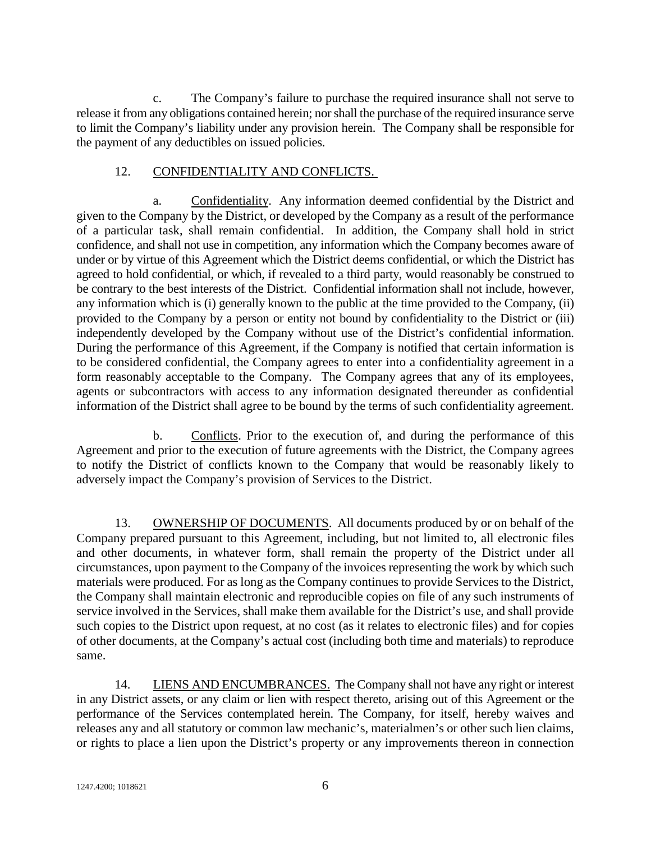c. The Company's failure to purchase the required insurance shall not serve to release it from any obligations contained herein; nor shall the purchase of the required insurance serve to limit the Company's liability under any provision herein. The Company shall be responsible for the payment of any deductibles on issued policies.

## 12. CONFIDENTIALITY AND CONFLICTS.

a. Confidentiality. Any information deemed confidential by the District and given to the Company by the District, or developed by the Company as a result of the performance of a particular task, shall remain confidential. In addition, the Company shall hold in strict confidence, and shall not use in competition, any information which the Company becomes aware of under or by virtue of this Agreement which the District deems confidential, or which the District has agreed to hold confidential, or which, if revealed to a third party, would reasonably be construed to be contrary to the best interests of the District. Confidential information shall not include, however, any information which is (i) generally known to the public at the time provided to the Company, (ii) provided to the Company by a person or entity not bound by confidentiality to the District or (iii) independently developed by the Company without use of the District's confidential information. During the performance of this Agreement, if the Company is notified that certain information is to be considered confidential, the Company agrees to enter into a confidentiality agreement in a form reasonably acceptable to the Company. The Company agrees that any of its employees, agents or subcontractors with access to any information designated thereunder as confidential information of the District shall agree to be bound by the terms of such confidentiality agreement.

b. Conflicts. Prior to the execution of, and during the performance of this Agreement and prior to the execution of future agreements with the District, the Company agrees to notify the District of conflicts known to the Company that would be reasonably likely to adversely impact the Company's provision of Services to the District.

13. OWNERSHIP OF DOCUMENTS. All documents produced by or on behalf of the Company prepared pursuant to this Agreement, including, but not limited to, all electronic files and other documents, in whatever form, shall remain the property of the District under all circumstances, upon payment to the Company of the invoices representing the work by which such materials were produced. For as long as the Company continues to provide Services to the District, the Company shall maintain electronic and reproducible copies on file of any such instruments of service involved in the Services, shall make them available for the District's use, and shall provide such copies to the District upon request, at no cost (as it relates to electronic files) and for copies of other documents, at the Company's actual cost (including both time and materials) to reproduce same.

14. LIENS AND ENCUMBRANCES. The Company shall not have any right or interest in any District assets, or any claim or lien with respect thereto, arising out of this Agreement or the performance of the Services contemplated herein. The Company, for itself, hereby waives and releases any and all statutory or common law mechanic's, materialmen's or other such lien claims, or rights to place a lien upon the District's property or any improvements thereon in connection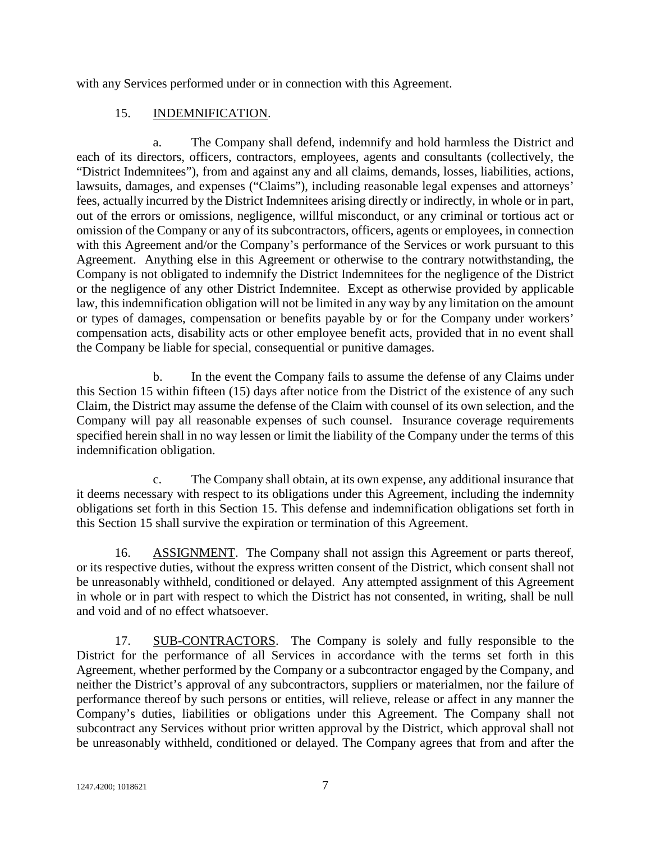with any Services performed under or in connection with this Agreement.

# 15. INDEMNIFICATION.

a. The Company shall defend, indemnify and hold harmless the District and each of its directors, officers, contractors, employees, agents and consultants (collectively, the "District Indemnitees"), from and against any and all claims, demands, losses, liabilities, actions, lawsuits, damages, and expenses ("Claims"), including reasonable legal expenses and attorneys' fees, actually incurred by the District Indemnitees arising directly or indirectly, in whole or in part, out of the errors or omissions, negligence, willful misconduct, or any criminal or tortious act or omission of the Company or any of its subcontractors, officers, agents or employees, in connection with this Agreement and/or the Company's performance of the Services or work pursuant to this Agreement. Anything else in this Agreement or otherwise to the contrary notwithstanding, the Company is not obligated to indemnify the District Indemnitees for the negligence of the District or the negligence of any other District Indemnitee. Except as otherwise provided by applicable law, this indemnification obligation will not be limited in any way by any limitation on the amount or types of damages, compensation or benefits payable by or for the Company under workers' compensation acts, disability acts or other employee benefit acts, provided that in no event shall the Company be liable for special, consequential or punitive damages.

b. In the event the Company fails to assume the defense of any Claims under this Section 15 within fifteen (15) days after notice from the District of the existence of any such Claim, the District may assume the defense of the Claim with counsel of its own selection, and the Company will pay all reasonable expenses of such counsel. Insurance coverage requirements specified herein shall in no way lessen or limit the liability of the Company under the terms of this indemnification obligation.

c. The Company shall obtain, at its own expense, any additional insurance that it deems necessary with respect to its obligations under this Agreement, including the indemnity obligations set forth in this Section 15. This defense and indemnification obligations set forth in this Section 15 shall survive the expiration or termination of this Agreement.

16. ASSIGNMENT. The Company shall not assign this Agreement or parts thereof, or its respective duties, without the express written consent of the District, which consent shall not be unreasonably withheld, conditioned or delayed. Any attempted assignment of this Agreement in whole or in part with respect to which the District has not consented, in writing, shall be null and void and of no effect whatsoever.

17. SUB-CONTRACTORS. The Company is solely and fully responsible to the District for the performance of all Services in accordance with the terms set forth in this Agreement, whether performed by the Company or a subcontractor engaged by the Company, and neither the District's approval of any subcontractors, suppliers or materialmen, nor the failure of performance thereof by such persons or entities, will relieve, release or affect in any manner the Company's duties, liabilities or obligations under this Agreement. The Company shall not subcontract any Services without prior written approval by the District, which approval shall not be unreasonably withheld, conditioned or delayed. The Company agrees that from and after the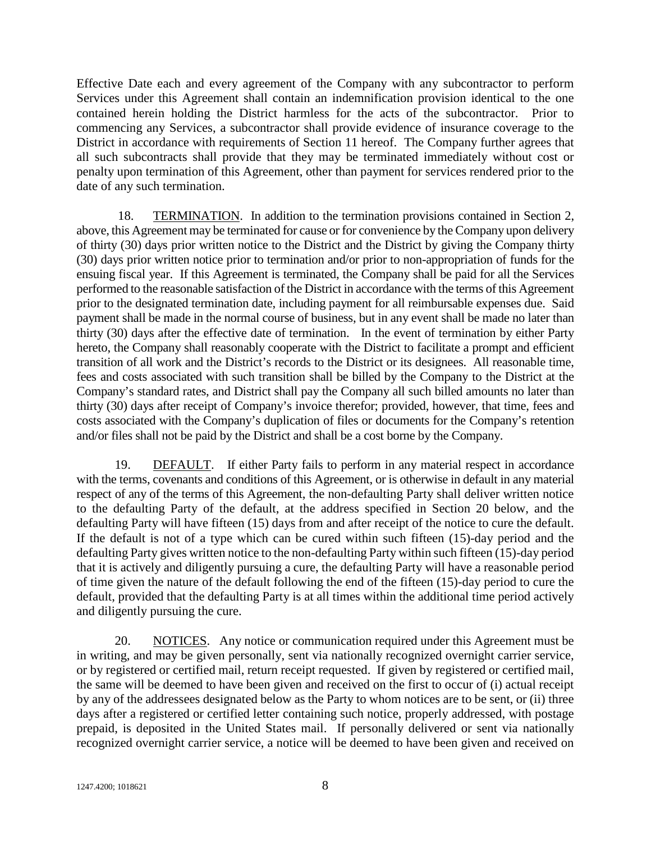Effective Date each and every agreement of the Company with any subcontractor to perform Services under this Agreement shall contain an indemnification provision identical to the one contained herein holding the District harmless for the acts of the subcontractor. Prior to commencing any Services, a subcontractor shall provide evidence of insurance coverage to the District in accordance with requirements of Section 11 hereof. The Company further agrees that all such subcontracts shall provide that they may be terminated immediately without cost or penalty upon termination of this Agreement, other than payment for services rendered prior to the date of any such termination.

18. TERMINATION. In addition to the termination provisions contained in Section 2, above, this Agreement may be terminated for cause or for convenience by the Company upon delivery of thirty (30) days prior written notice to the District and the District by giving the Company thirty (30) days prior written notice prior to termination and/or prior to non-appropriation of funds for the ensuing fiscal year. If this Agreement is terminated, the Company shall be paid for all the Services performed to the reasonable satisfaction of the District in accordance with the terms of this Agreement prior to the designated termination date, including payment for all reimbursable expenses due. Said payment shall be made in the normal course of business, but in any event shall be made no later than thirty (30) days after the effective date of termination. In the event of termination by either Party hereto, the Company shall reasonably cooperate with the District to facilitate a prompt and efficient transition of all work and the District's records to the District or its designees. All reasonable time, fees and costs associated with such transition shall be billed by the Company to the District at the Company's standard rates, and District shall pay the Company all such billed amounts no later than thirty (30) days after receipt of Company's invoice therefor; provided, however, that time, fees and costs associated with the Company's duplication of files or documents for the Company's retention and/or files shall not be paid by the District and shall be a cost borne by the Company.

19. DEFAULT. If either Party fails to perform in any material respect in accordance with the terms, covenants and conditions of this Agreement, or is otherwise in default in any material respect of any of the terms of this Agreement, the non-defaulting Party shall deliver written notice to the defaulting Party of the default, at the address specified in Section 20 below, and the defaulting Party will have fifteen (15) days from and after receipt of the notice to cure the default. If the default is not of a type which can be cured within such fifteen (15)-day period and the defaulting Party gives written notice to the non-defaulting Party within such fifteen (15)-day period that it is actively and diligently pursuing a cure, the defaulting Party will have a reasonable period of time given the nature of the default following the end of the fifteen (15)-day period to cure the default, provided that the defaulting Party is at all times within the additional time period actively and diligently pursuing the cure.

20. NOTICES. Any notice or communication required under this Agreement must be in writing, and may be given personally, sent via nationally recognized overnight carrier service, or by registered or certified mail, return receipt requested. If given by registered or certified mail, the same will be deemed to have been given and received on the first to occur of (i) actual receipt by any of the addressees designated below as the Party to whom notices are to be sent, or (ii) three days after a registered or certified letter containing such notice, properly addressed, with postage prepaid, is deposited in the United States mail. If personally delivered or sent via nationally recognized overnight carrier service, a notice will be deemed to have been given and received on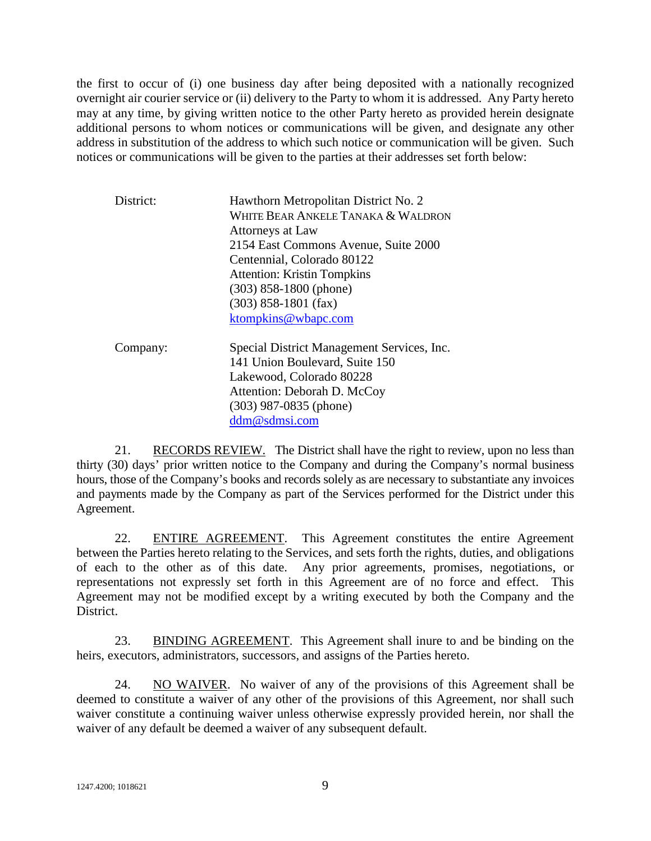the first to occur of (i) one business day after being deposited with a nationally recognized overnight air courier service or (ii) delivery to the Party to whom it is addressed. Any Party hereto may at any time, by giving written notice to the other Party hereto as provided herein designate additional persons to whom notices or communications will be given, and designate any other address in substitution of the address to which such notice or communication will be given. Such notices or communications will be given to the parties at their addresses set forth below:

| District: | Hawthorn Metropolitan District No. 2<br>WHITE BEAR ANKELE TANAKA & WALDRON<br>Attorneys at Law |
|-----------|------------------------------------------------------------------------------------------------|
|           | 2154 East Commons Avenue, Suite 2000                                                           |
|           | Centennial, Colorado 80122                                                                     |
|           | <b>Attention: Kristin Tompkins</b>                                                             |
|           | $(303)$ 858-1800 (phone)                                                                       |
|           | $(303)$ 858-1801 (fax)                                                                         |
|           | ktompkins@wbapc.com                                                                            |
| Company:  | Special District Management Services, Inc.                                                     |
|           | 141 Union Boulevard, Suite 150                                                                 |
|           | Lakewood, Colorado 80228                                                                       |
|           | Attention: Deborah D. McCoy                                                                    |
|           | $(303)$ 987-0835 (phone)                                                                       |

[ddm@sdmsi.com](mailto:ddm@sdmsi.com)

21. RECORDS REVIEW. The District shall have the right to review, upon no less than thirty (30) days' prior written notice to the Company and during the Company's normal business hours, those of the Company's books and records solely as are necessary to substantiate any invoices and payments made by the Company as part of the Services performed for the District under this Agreement.

22. ENTIRE AGREEMENT. This Agreement constitutes the entire Agreement between the Parties hereto relating to the Services, and sets forth the rights, duties, and obligations of each to the other as of this date. Any prior agreements, promises, negotiations, or representations not expressly set forth in this Agreement are of no force and effect. This Agreement may not be modified except by a writing executed by both the Company and the District.

23. BINDING AGREEMENT. This Agreement shall inure to and be binding on the heirs, executors, administrators, successors, and assigns of the Parties hereto.

24. NO WAIVER. No waiver of any of the provisions of this Agreement shall be deemed to constitute a waiver of any other of the provisions of this Agreement, nor shall such waiver constitute a continuing waiver unless otherwise expressly provided herein, nor shall the waiver of any default be deemed a waiver of any subsequent default.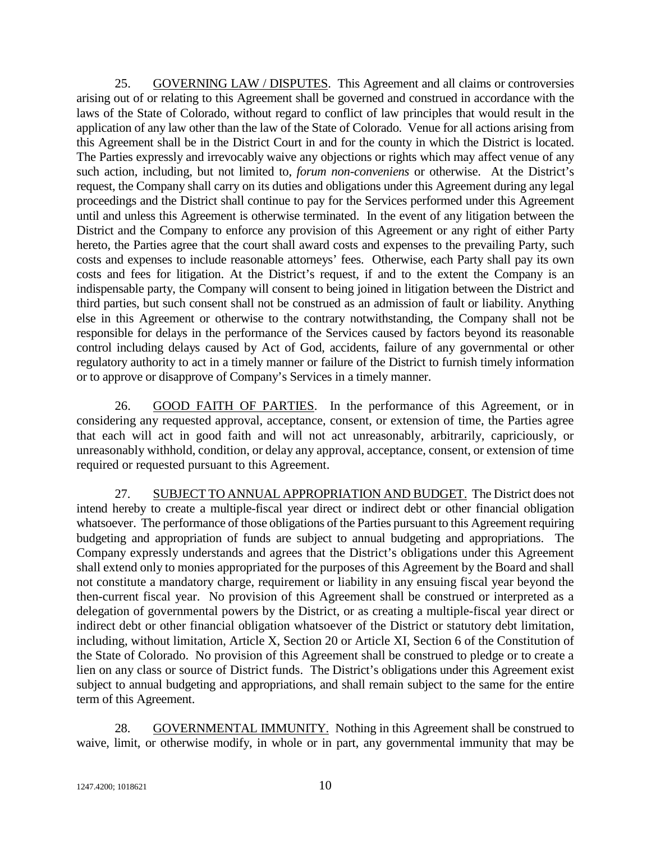25. GOVERNING LAW / DISPUTES. This Agreement and all claims or controversies arising out of or relating to this Agreement shall be governed and construed in accordance with the laws of the State of Colorado, without regard to conflict of law principles that would result in the application of any law other than the law of the State of Colorado. Venue for all actions arising from this Agreement shall be in the District Court in and for the county in which the District is located. The Parties expressly and irrevocably waive any objections or rights which may affect venue of any such action, including, but not limited to, *forum non-conveniens* or otherwise. At the District's request, the Company shall carry on its duties and obligations under this Agreement during any legal proceedings and the District shall continue to pay for the Services performed under this Agreement until and unless this Agreement is otherwise terminated. In the event of any litigation between the District and the Company to enforce any provision of this Agreement or any right of either Party hereto, the Parties agree that the court shall award costs and expenses to the prevailing Party, such costs and expenses to include reasonable attorneys' fees. Otherwise, each Party shall pay its own costs and fees for litigation. At the District's request, if and to the extent the Company is an indispensable party, the Company will consent to being joined in litigation between the District and third parties, but such consent shall not be construed as an admission of fault or liability. Anything else in this Agreement or otherwise to the contrary notwithstanding, the Company shall not be responsible for delays in the performance of the Services caused by factors beyond its reasonable control including delays caused by Act of God, accidents, failure of any governmental or other regulatory authority to act in a timely manner or failure of the District to furnish timely information or to approve or disapprove of Company's Services in a timely manner.

26. GOOD FAITH OF PARTIES. In the performance of this Agreement, or in considering any requested approval, acceptance, consent, or extension of time, the Parties agree that each will act in good faith and will not act unreasonably, arbitrarily, capriciously, or unreasonably withhold, condition, or delay any approval, acceptance, consent, or extension of time required or requested pursuant to this Agreement.

27. SUBJECT TO ANNUAL APPROPRIATION AND BUDGET. The District does not intend hereby to create a multiple-fiscal year direct or indirect debt or other financial obligation whatsoever. The performance of those obligations of the Parties pursuant to this Agreement requiring budgeting and appropriation of funds are subject to annual budgeting and appropriations. The Company expressly understands and agrees that the District's obligations under this Agreement shall extend only to monies appropriated for the purposes of this Agreement by the Board and shall not constitute a mandatory charge, requirement or liability in any ensuing fiscal year beyond the then-current fiscal year. No provision of this Agreement shall be construed or interpreted as a delegation of governmental powers by the District, or as creating a multiple-fiscal year direct or indirect debt or other financial obligation whatsoever of the District or statutory debt limitation, including, without limitation, Article X, Section 20 or Article XI, Section 6 of the Constitution of the State of Colorado. No provision of this Agreement shall be construed to pledge or to create a lien on any class or source of District funds. The District's obligations under this Agreement exist subject to annual budgeting and appropriations, and shall remain subject to the same for the entire term of this Agreement.

28. GOVERNMENTAL IMMUNITY. Nothing in this Agreement shall be construed to waive, limit, or otherwise modify, in whole or in part, any governmental immunity that may be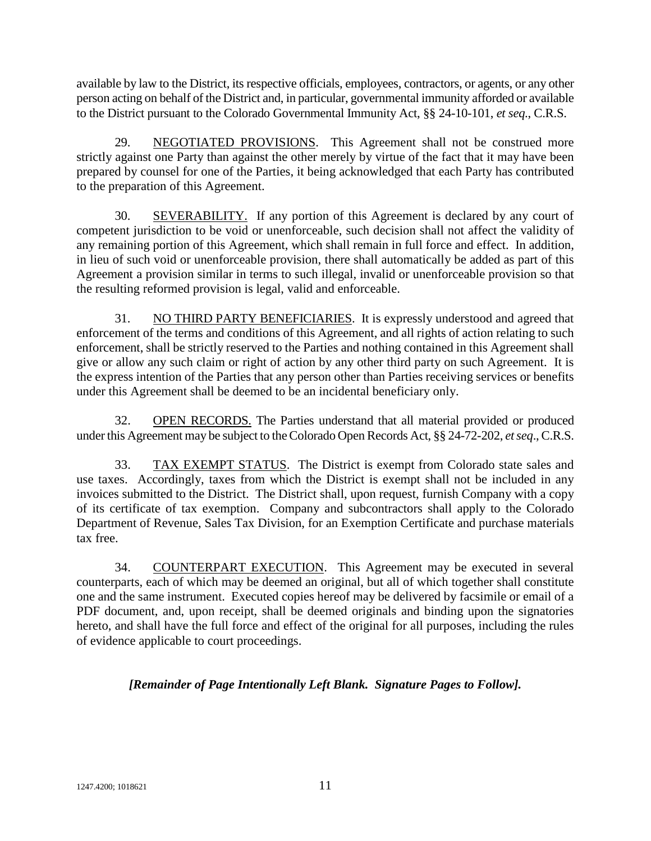available by law to the District, its respective officials, employees, contractors, or agents, or any other person acting on behalf of the District and, in particular, governmental immunity afforded or available to the District pursuant to the Colorado Governmental Immunity Act, §§ 24-10-101, *et seq*., C.R.S.

29. NEGOTIATED PROVISIONS. This Agreement shall not be construed more strictly against one Party than against the other merely by virtue of the fact that it may have been prepared by counsel for one of the Parties, it being acknowledged that each Party has contributed to the preparation of this Agreement.

30. SEVERABILITY. If any portion of this Agreement is declared by any court of competent jurisdiction to be void or unenforceable, such decision shall not affect the validity of any remaining portion of this Agreement, which shall remain in full force and effect. In addition, in lieu of such void or unenforceable provision, there shall automatically be added as part of this Agreement a provision similar in terms to such illegal, invalid or unenforceable provision so that the resulting reformed provision is legal, valid and enforceable.

31. NO THIRD PARTY BENEFICIARIES. It is expressly understood and agreed that enforcement of the terms and conditions of this Agreement, and all rights of action relating to such enforcement, shall be strictly reserved to the Parties and nothing contained in this Agreement shall give or allow any such claim or right of action by any other third party on such Agreement. It is the express intention of the Parties that any person other than Parties receiving services or benefits under this Agreement shall be deemed to be an incidental beneficiary only.

32. OPEN RECORDS. The Parties understand that all material provided or produced under this Agreement may be subject to the Colorado Open Records Act, §§ 24-72-202, *et seq*., C.R.S.

33. TAX EXEMPT STATUS. The District is exempt from Colorado state sales and use taxes. Accordingly, taxes from which the District is exempt shall not be included in any invoices submitted to the District. The District shall, upon request, furnish Company with a copy of its certificate of tax exemption. Company and subcontractors shall apply to the Colorado Department of Revenue, Sales Tax Division, for an Exemption Certificate and purchase materials tax free.

34. COUNTERPART EXECUTION. This Agreement may be executed in several counterparts, each of which may be deemed an original, but all of which together shall constitute one and the same instrument. Executed copies hereof may be delivered by facsimile or email of a PDF document, and, upon receipt, shall be deemed originals and binding upon the signatories hereto, and shall have the full force and effect of the original for all purposes, including the rules of evidence applicable to court proceedings.

# *[Remainder of Page Intentionally Left Blank. Signature Pages to Follow].*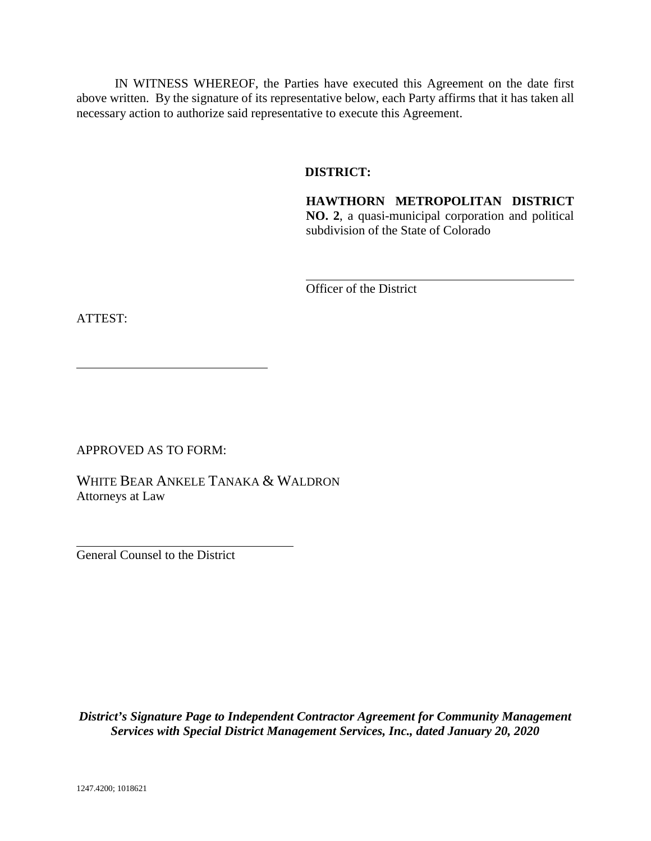IN WITNESS WHEREOF, the Parties have executed this Agreement on the date first above written. By the signature of its representative below, each Party affirms that it has taken all necessary action to authorize said representative to execute this Agreement.

## **DISTRICT:**

**HAWTHORN METROPOLITAN DISTRICT NO. 2**, a quasi-municipal corporation and political subdivision of the State of Colorado

Officer of the District

ATTEST:

APPROVED AS TO FORM:

WHITE BEAR ANKELE TANAKA & WALDRON Attorneys at Law

 $\overline{a}$ General Counsel to the District

*District's Signature Page to Independent Contractor Agreement for Community Management Services with Special District Management Services, Inc., dated January 20, 2020*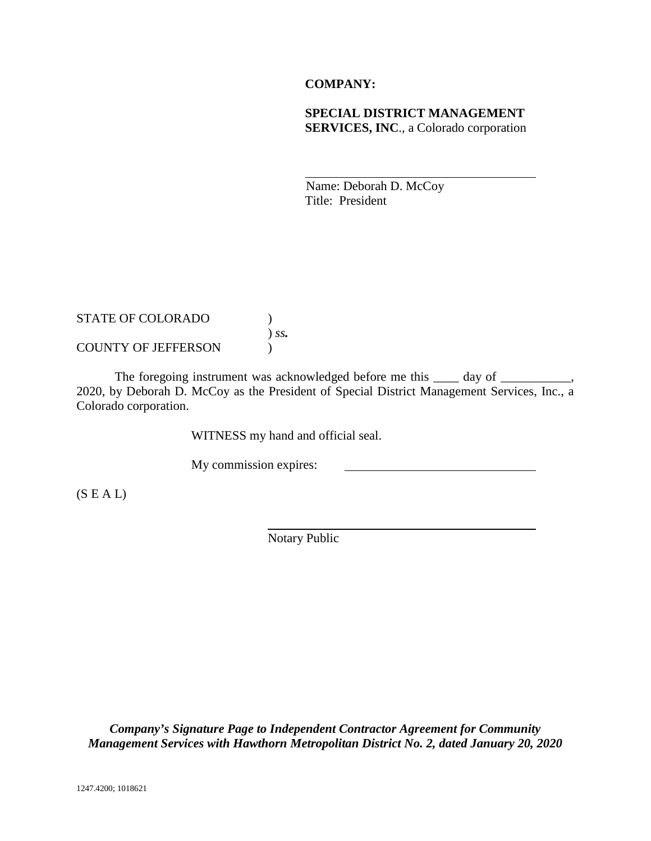## **COMPANY:**

## **SPECIAL DISTRICT MANAGEMENT SERVICES, INC**., a Colorado corporation

Name: Deborah D. McCoy Title: President

| <b>STATE OF COLORADO</b>   |            |
|----------------------------|------------|
|                            | $\int$ SS. |
| <b>COUNTY OF JEFFERSON</b> |            |

The foregoing instrument was acknowledged before me this  $\_\_\_$  day of  $\_\_\_\_\_$ 2020, by Deborah D. McCoy as the President of Special District Management Services, Inc., a Colorado corporation.

WITNESS my hand and official seal.

My commission expires:

 $(S E A L)$ 

Notary Public

*Company's Signature Page to Independent Contractor Agreement for Community Management Services with Hawthorn Metropolitan District No. 2, dated January 20, 2020*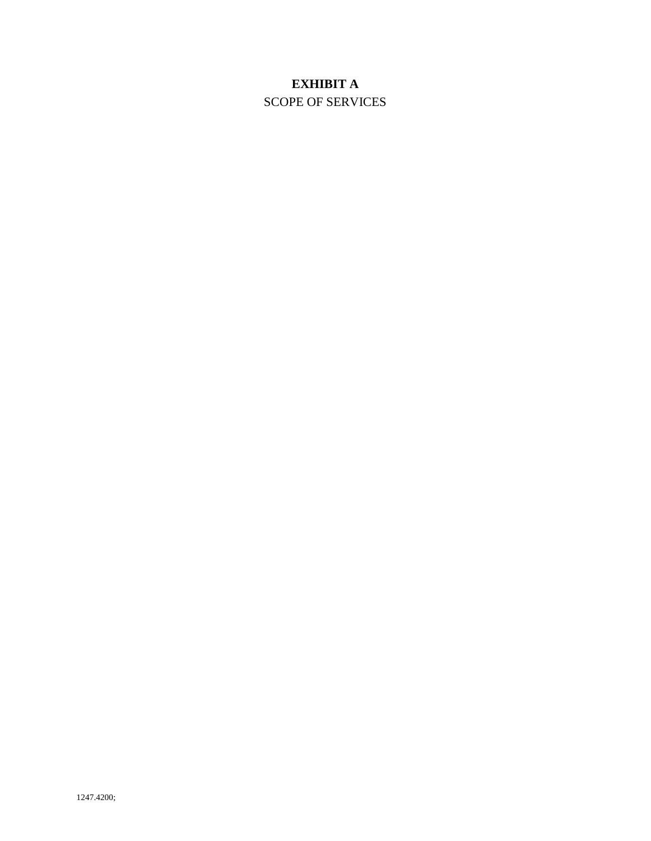# **EXHIBIT A**

SCOPE OF SERVICES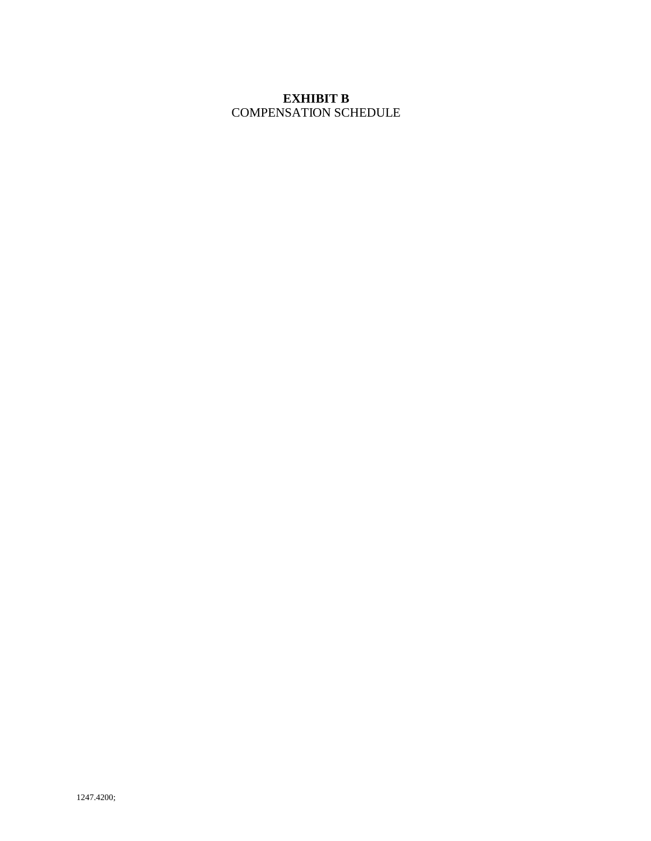# **EXHIBIT B** COMPENSATION SCHEDULE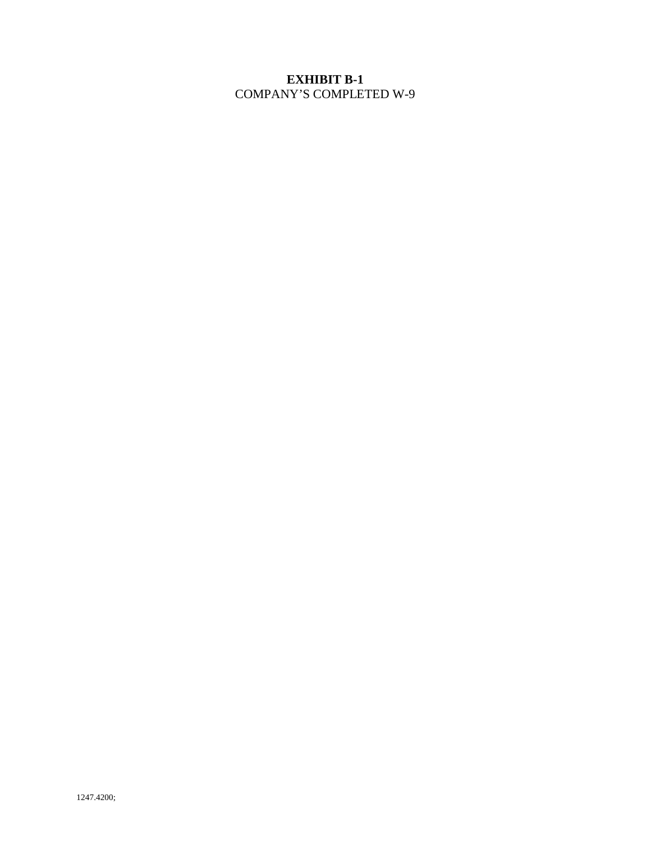# **EXHIBIT B-1** COMPANY'S COMPLETED W-9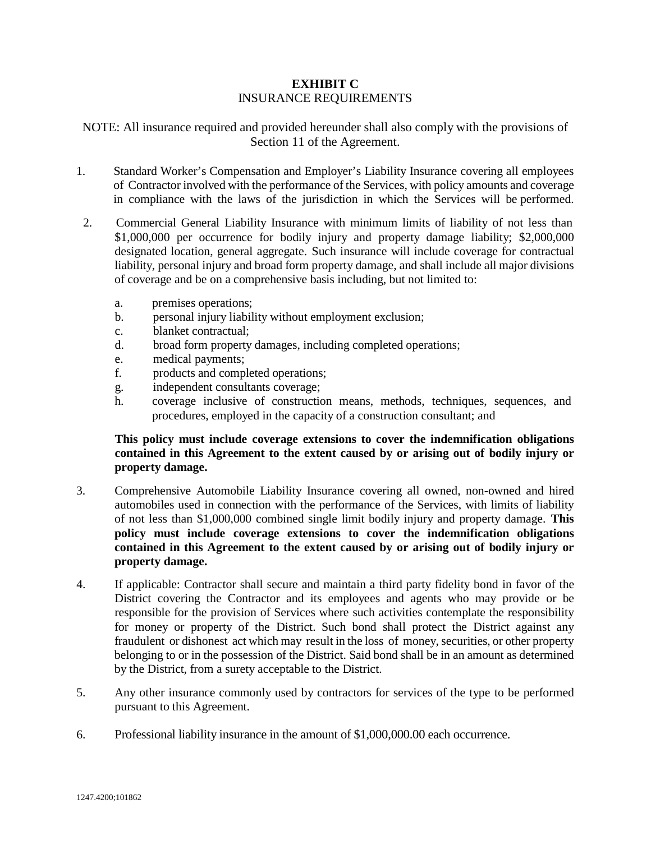## **EXHIBIT C** INSURANCE REQUIREMENTS

NOTE: All insurance required and provided hereunder shall also comply with the provisions of Section 11 of the Agreement.

- 1. Standard Worker's Compensation and Employer's Liability Insurance covering all employees of Contractor involved with the performance of the Services, with policy amounts and coverage in compliance with the laws of the jurisdiction in which the Services will be performed.
- 2. Commercial General Liability Insurance with minimum limits of liability of not less than \$1,000,000 per occurrence for bodily injury and property damage liability; \$2,000,000 designated location, general aggregate. Such insurance will include coverage for contractual liability, personal injury and broad form property damage, and shall include all major divisions of coverage and be on a comprehensive basis including, but not limited to:
	- a. premises operations;
	- b. personal injury liability without employment exclusion;
	- c. blanket contractual;
	- d. broad form property damages, including completed operations;
	- e. medical payments;
	- f. products and completed operations;
	- g. independent consultants coverage;
	- h. coverage inclusive of construction means, methods, techniques, sequences, and procedures, employed in the capacity of a construction consultant; and

## **This policy must include coverage extensions to cover the indemnification obligations contained in this Agreement to the extent caused by or arising out of bodily injury or property damage.**

- 3. Comprehensive Automobile Liability Insurance covering all owned, non-owned and hired automobiles used in connection with the performance of the Services, with limits of liability of not less than \$1,000,000 combined single limit bodily injury and property damage. **This policy must include coverage extensions to cover the indemnification obligations contained in this Agreement to the extent caused by or arising out of bodily injury or property damage.**
- 4. If applicable: Contractor shall secure and maintain a third party fidelity bond in favor of the District covering the Contractor and its employees and agents who may provide or be responsible for the provision of Services where such activities contemplate the responsibility for money or property of the District. Such bond shall protect the District against any fraudulent or dishonest act which may result in the loss of money, securities, or other property belonging to or in the possession of the District. Said bond shall be in an amount as determined by the District, from a surety acceptable to the District.
- 5. Any other insurance commonly used by contractors for services of the type to be performed pursuant to this Agreement.
- 6. Professional liability insurance in the amount of \$1,000,000.00 each occurrence.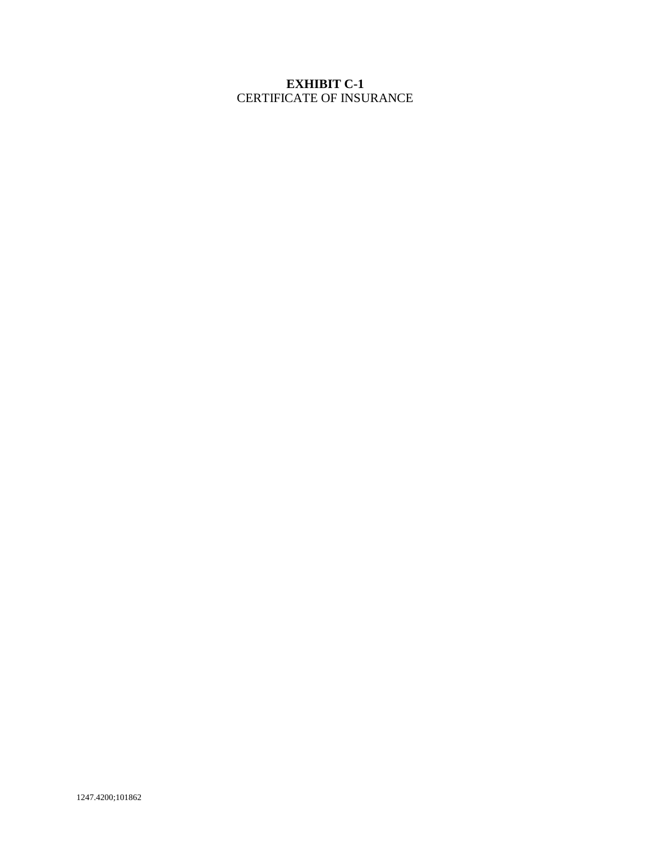# **EXHIBIT C-1** CERTIFICATE OF INSURANCE